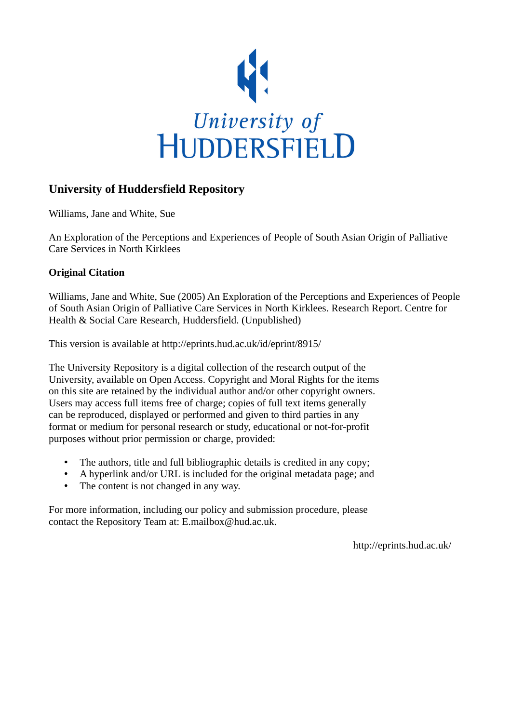

# **University of Huddersfield Repository**

Williams, Jane and White, Sue

An Exploration of the Perceptions and Experiences of People of South Asian Origin of Palliative Care Services in North Kirklees

## **Original Citation**

Williams, Jane and White, Sue (2005) An Exploration of the Perceptions and Experiences of People of South Asian Origin of Palliative Care Services in North Kirklees. Research Report. Centre for Health & Social Care Research, Huddersfield. (Unpublished)

This version is available at http://eprints.hud.ac.uk/id/eprint/8915/

The University Repository is a digital collection of the research output of the University, available on Open Access. Copyright and Moral Rights for the items on this site are retained by the individual author and/or other copyright owners. Users may access full items free of charge; copies of full text items generally can be reproduced, displayed or performed and given to third parties in any format or medium for personal research or study, educational or not-for-profit purposes without prior permission or charge, provided:

- The authors, title and full bibliographic details is credited in any copy;
- A hyperlink and/or URL is included for the original metadata page; and
- The content is not changed in any way.

For more information, including our policy and submission procedure, please contact the Repository Team at: E.mailbox@hud.ac.uk.

http://eprints.hud.ac.uk/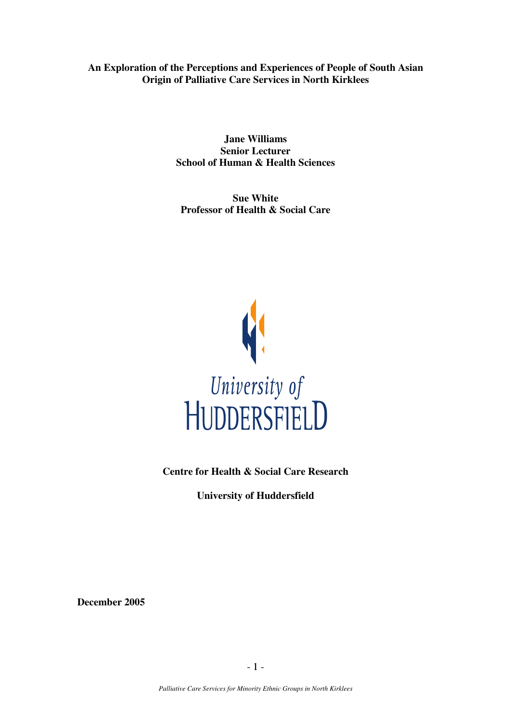**An Exploration of the Perceptions and Experiences of People of South Asian Origin of Palliative Care Services in North Kirklees** 

> **Jane Williams Senior Lecturer School of Human & Health Sciences**

**Sue White Professor of Health & Social Care** 



**Centre for Health & Social Care Research** 

**University of Huddersfield** 

**December 2005**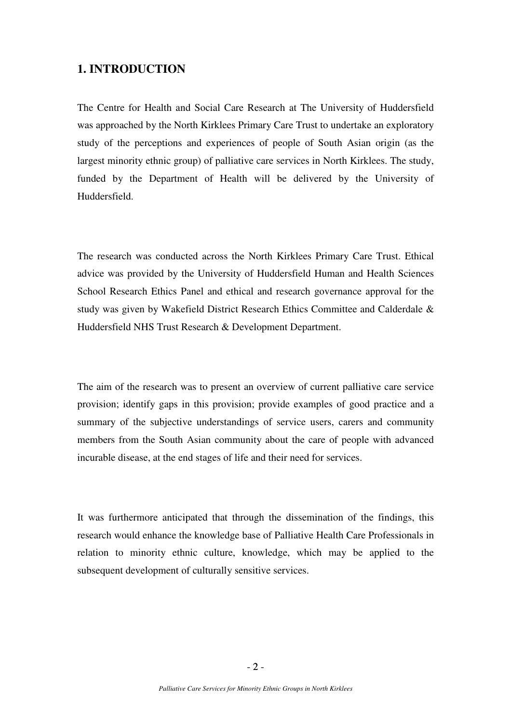## **1. INTRODUCTION**

The Centre for Health and Social Care Research at The University of Huddersfield was approached by the North Kirklees Primary Care Trust to undertake an exploratory study of the perceptions and experiences of people of South Asian origin (as the largest minority ethnic group) of palliative care services in North Kirklees. The study, funded by the Department of Health will be delivered by the University of Huddersfield.

The research was conducted across the North Kirklees Primary Care Trust. Ethical advice was provided by the University of Huddersfield Human and Health Sciences School Research Ethics Panel and ethical and research governance approval for the study was given by Wakefield District Research Ethics Committee and Calderdale & Huddersfield NHS Trust Research & Development Department.

The aim of the research was to present an overview of current palliative care service provision; identify gaps in this provision; provide examples of good practice and a summary of the subjective understandings of service users, carers and community members from the South Asian community about the care of people with advanced incurable disease, at the end stages of life and their need for services.

It was furthermore anticipated that through the dissemination of the findings, this research would enhance the knowledge base of Palliative Health Care Professionals in relation to minority ethnic culture, knowledge, which may be applied to the subsequent development of culturally sensitive services.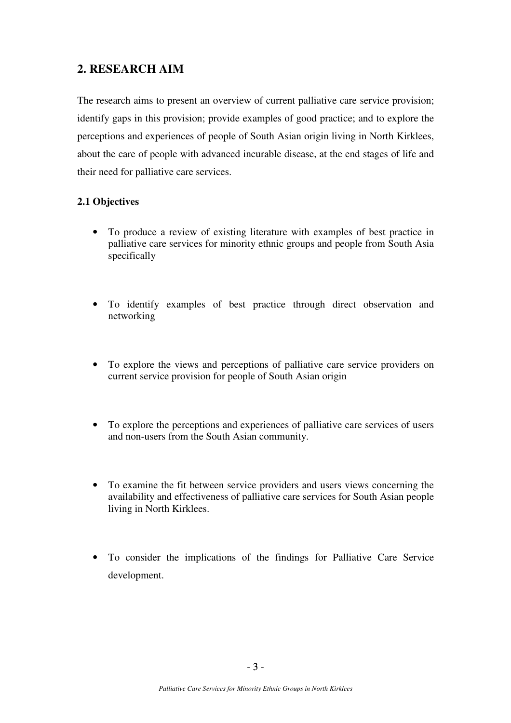# **2. RESEARCH AIM**

The research aims to present an overview of current palliative care service provision; identify gaps in this provision; provide examples of good practice; and to explore the perceptions and experiences of people of South Asian origin living in North Kirklees, about the care of people with advanced incurable disease, at the end stages of life and their need for palliative care services.

## **2.1 Objectives**

- To produce a review of existing literature with examples of best practice in palliative care services for minority ethnic groups and people from South Asia specifically
- To identify examples of best practice through direct observation and networking
- To explore the views and perceptions of palliative care service providers on current service provision for people of South Asian origin
- To explore the perceptions and experiences of palliative care services of users and non-users from the South Asian community.
- To examine the fit between service providers and users views concerning the availability and effectiveness of palliative care services for South Asian people living in North Kirklees.
- To consider the implications of the findings for Palliative Care Service development.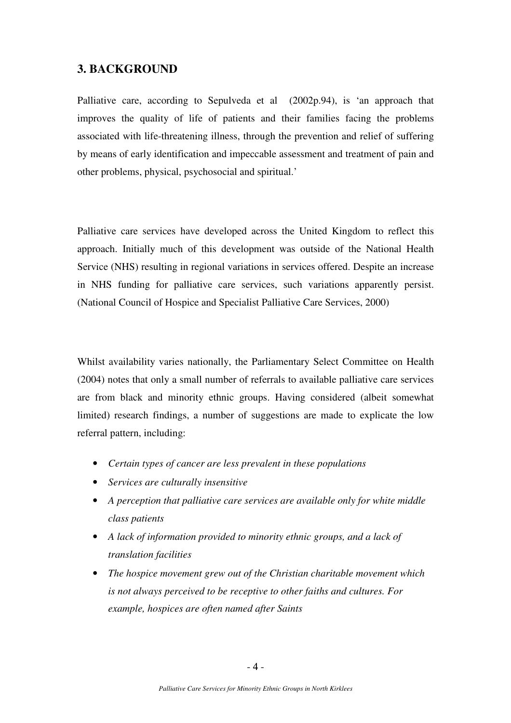## **3. BACKGROUND**

Palliative care, according to Sepulveda et al (2002p.94), is 'an approach that improves the quality of life of patients and their families facing the problems associated with life-threatening illness, through the prevention and relief of suffering by means of early identification and impeccable assessment and treatment of pain and other problems, physical, psychosocial and spiritual.'

Palliative care services have developed across the United Kingdom to reflect this approach. Initially much of this development was outside of the National Health Service (NHS) resulting in regional variations in services offered. Despite an increase in NHS funding for palliative care services, such variations apparently persist. (National Council of Hospice and Specialist Palliative Care Services, 2000)

Whilst availability varies nationally, the Parliamentary Select Committee on Health (2004) notes that only a small number of referrals to available palliative care services are from black and minority ethnic groups. Having considered (albeit somewhat limited) research findings, a number of suggestions are made to explicate the low referral pattern, including:

- *Certain types of cancer are less prevalent in these populations*
- *Services are culturally insensitive*
- *A perception that palliative care services are available only for white middle class patients*
- *A lack of information provided to minority ethnic groups, and a lack of translation facilities*
- *The hospice movement grew out of the Christian charitable movement which is not always perceived to be receptive to other faiths and cultures. For example, hospices are often named after Saints*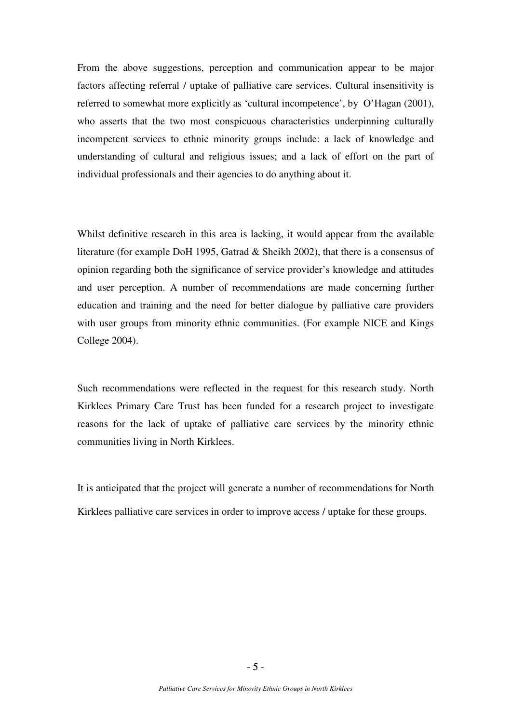From the above suggestions, perception and communication appear to be major factors affecting referral / uptake of palliative care services. Cultural insensitivity is referred to somewhat more explicitly as 'cultural incompetence', by O'Hagan (2001), who asserts that the two most conspicuous characteristics underpinning culturally incompetent services to ethnic minority groups include: a lack of knowledge and understanding of cultural and religious issues; and a lack of effort on the part of individual professionals and their agencies to do anything about it.

Whilst definitive research in this area is lacking, it would appear from the available literature (for example DoH 1995, Gatrad & Sheikh 2002), that there is a consensus of opinion regarding both the significance of service provider's knowledge and attitudes and user perception. A number of recommendations are made concerning further education and training and the need for better dialogue by palliative care providers with user groups from minority ethnic communities. (For example NICE and Kings College 2004).

Such recommendations were reflected in the request for this research study. North Kirklees Primary Care Trust has been funded for a research project to investigate reasons for the lack of uptake of palliative care services by the minority ethnic communities living in North Kirklees.

It is anticipated that the project will generate a number of recommendations for North Kirklees palliative care services in order to improve access / uptake for these groups.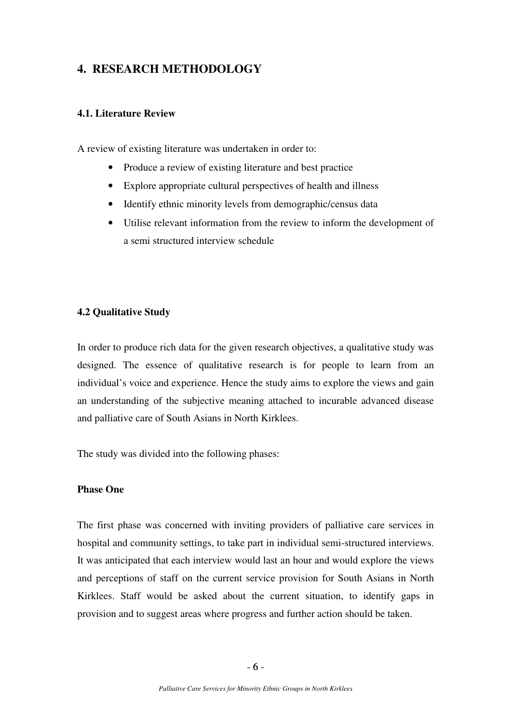# **4. RESEARCH METHODOLOGY**

### **4.1. Literature Review**

A review of existing literature was undertaken in order to:

- Produce a review of existing literature and best practice
- Explore appropriate cultural perspectives of health and illness
- Identify ethnic minority levels from demographic/census data
- Utilise relevant information from the review to inform the development of a semi structured interview schedule

### **4.2 Qualitative Study**

In order to produce rich data for the given research objectives, a qualitative study was designed. The essence of qualitative research is for people to learn from an individual's voice and experience. Hence the study aims to explore the views and gain an understanding of the subjective meaning attached to incurable advanced disease and palliative care of South Asians in North Kirklees.

The study was divided into the following phases:

### **Phase One**

The first phase was concerned with inviting providers of palliative care services in hospital and community settings, to take part in individual semi-structured interviews. It was anticipated that each interview would last an hour and would explore the views and perceptions of staff on the current service provision for South Asians in North Kirklees. Staff would be asked about the current situation, to identify gaps in provision and to suggest areas where progress and further action should be taken.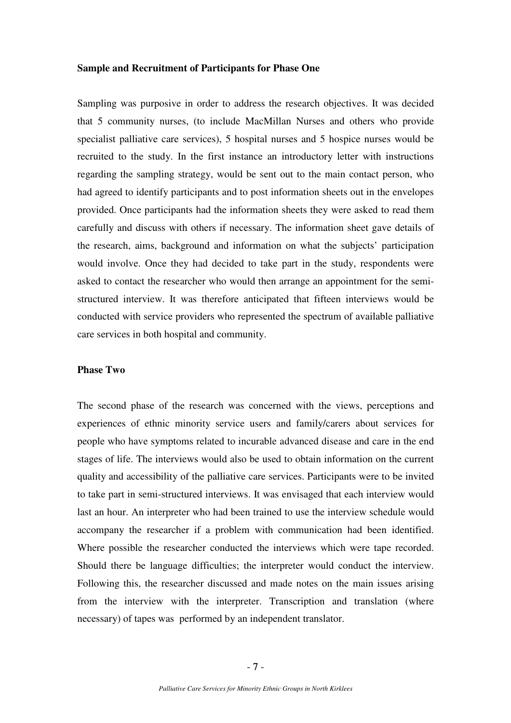#### **Sample and Recruitment of Participants for Phase One**

Sampling was purposive in order to address the research objectives. It was decided that 5 community nurses, (to include MacMillan Nurses and others who provide specialist palliative care services), 5 hospital nurses and 5 hospice nurses would be recruited to the study. In the first instance an introductory letter with instructions regarding the sampling strategy, would be sent out to the main contact person, who had agreed to identify participants and to post information sheets out in the envelopes provided. Once participants had the information sheets they were asked to read them carefully and discuss with others if necessary. The information sheet gave details of the research, aims, background and information on what the subjects' participation would involve. Once they had decided to take part in the study, respondents were asked to contact the researcher who would then arrange an appointment for the semistructured interview. It was therefore anticipated that fifteen interviews would be conducted with service providers who represented the spectrum of available palliative care services in both hospital and community.

### **Phase Two**

The second phase of the research was concerned with the views, perceptions and experiences of ethnic minority service users and family/carers about services for people who have symptoms related to incurable advanced disease and care in the end stages of life. The interviews would also be used to obtain information on the current quality and accessibility of the palliative care services. Participants were to be invited to take part in semi-structured interviews. It was envisaged that each interview would last an hour. An interpreter who had been trained to use the interview schedule would accompany the researcher if a problem with communication had been identified. Where possible the researcher conducted the interviews which were tape recorded. Should there be language difficulties; the interpreter would conduct the interview. Following this, the researcher discussed and made notes on the main issues arising from the interview with the interpreter. Transcription and translation (where necessary) of tapes was performed by an independent translator.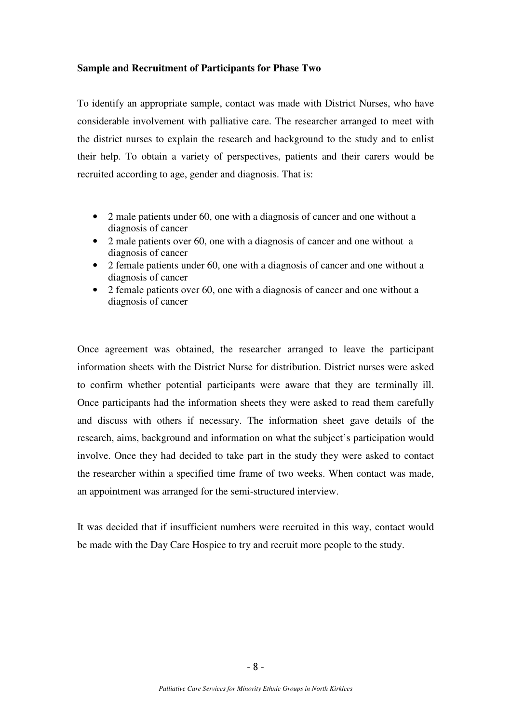### **Sample and Recruitment of Participants for Phase Two**

To identify an appropriate sample, contact was made with District Nurses, who have considerable involvement with palliative care. The researcher arranged to meet with the district nurses to explain the research and background to the study and to enlist their help. To obtain a variety of perspectives, patients and their carers would be recruited according to age, gender and diagnosis. That is:

- 2 male patients under 60, one with a diagnosis of cancer and one without a diagnosis of cancer
- 2 male patients over 60, one with a diagnosis of cancer and one without a diagnosis of cancer
- 2 female patients under 60, one with a diagnosis of cancer and one without a diagnosis of cancer
- 2 female patients over 60, one with a diagnosis of cancer and one without a diagnosis of cancer

Once agreement was obtained, the researcher arranged to leave the participant information sheets with the District Nurse for distribution. District nurses were asked to confirm whether potential participants were aware that they are terminally ill. Once participants had the information sheets they were asked to read them carefully and discuss with others if necessary. The information sheet gave details of the research, aims, background and information on what the subject's participation would involve. Once they had decided to take part in the study they were asked to contact the researcher within a specified time frame of two weeks. When contact was made, an appointment was arranged for the semi-structured interview.

It was decided that if insufficient numbers were recruited in this way, contact would be made with the Day Care Hospice to try and recruit more people to the study.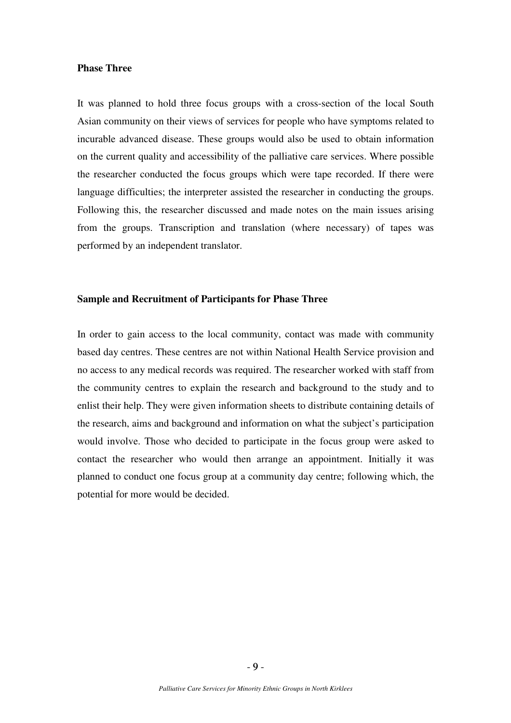### **Phase Three**

It was planned to hold three focus groups with a cross-section of the local South Asian community on their views of services for people who have symptoms related to incurable advanced disease. These groups would also be used to obtain information on the current quality and accessibility of the palliative care services. Where possible the researcher conducted the focus groups which were tape recorded. If there were language difficulties; the interpreter assisted the researcher in conducting the groups. Following this, the researcher discussed and made notes on the main issues arising from the groups. Transcription and translation (where necessary) of tapes was performed by an independent translator.

### **Sample and Recruitment of Participants for Phase Three**

In order to gain access to the local community, contact was made with community based day centres. These centres are not within National Health Service provision and no access to any medical records was required. The researcher worked with staff from the community centres to explain the research and background to the study and to enlist their help. They were given information sheets to distribute containing details of the research, aims and background and information on what the subject's participation would involve. Those who decided to participate in the focus group were asked to contact the researcher who would then arrange an appointment. Initially it was planned to conduct one focus group at a community day centre; following which, the potential for more would be decided.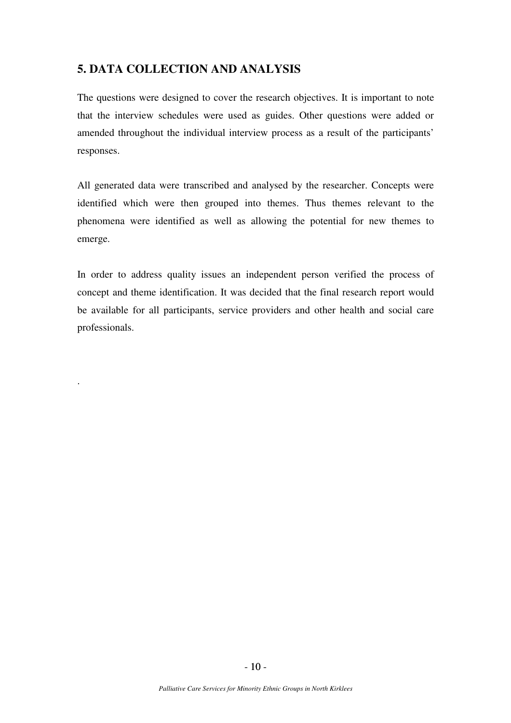# **5. DATA COLLECTION AND ANALYSIS**

.

The questions were designed to cover the research objectives. It is important to note that the interview schedules were used as guides. Other questions were added or amended throughout the individual interview process as a result of the participants' responses.

All generated data were transcribed and analysed by the researcher. Concepts were identified which were then grouped into themes. Thus themes relevant to the phenomena were identified as well as allowing the potential for new themes to emerge.

In order to address quality issues an independent person verified the process of concept and theme identification. It was decided that the final research report would be available for all participants, service providers and other health and social care professionals.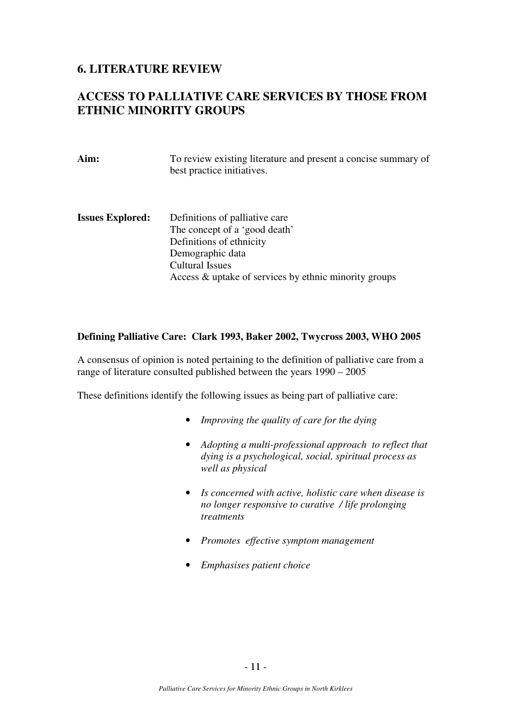## **6. LITERATURE REVIEW**

# **ACCESS TO PALLIATIVE CARE SERVICES BY THOSE FROM ETHNIC MINORITY GROUPS**

| Aim:                    | To review existing literature and present a concise summary of<br>best practice initiatives.                                                                                                       |
|-------------------------|----------------------------------------------------------------------------------------------------------------------------------------------------------------------------------------------------|
| <b>Issues Explored:</b> | Definitions of palliative care<br>The concept of a 'good death'<br>Definitions of ethnicity<br>Demographic data<br><b>Cultural Issues</b><br>Access & uptake of services by ethnic minority groups |

### **Defining Palliative Care: Clark 1993, Baker 2002, Twycross 2003, WHO 2005**

A consensus of opinion is noted pertaining to the definition of palliative care from a range of literature consulted published between the years 1990 – 2005

These definitions identify the following issues as being part of palliative care:

- *Improving the quality of care for the dying*
- *Adopting a multi-professional approach to reflect that dying is a psychological, social, spiritual process as well as physical*
- *Is concerned with active, holistic care when disease is no longer responsive to curative / life prolonging treatments*
- *Promotes effective symptom management*
- *Emphasises patient choice*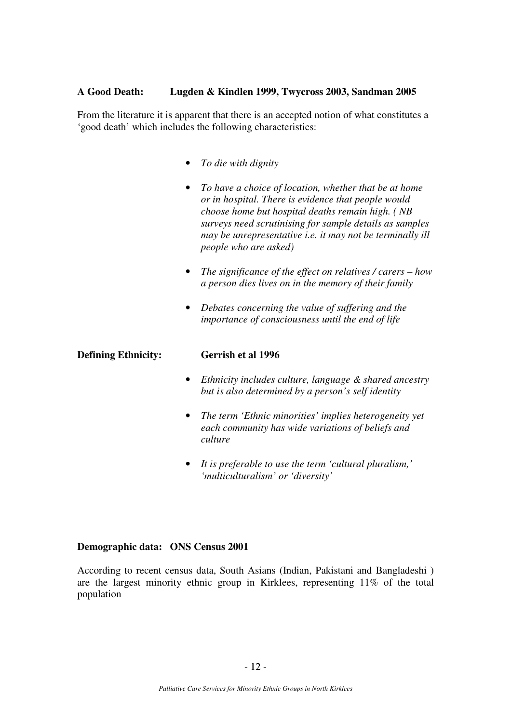### **A Good Death: Lugden & Kindlen 1999, Twycross 2003, Sandman 2005**

From the literature it is apparent that there is an accepted notion of what constitutes a 'good death' which includes the following characteristics:

- *To die with dignity*
- *To have a choice of location, whether that be at home or in hospital. There is evidence that people would choose home but hospital deaths remain high. ( NB surveys need scrutinising for sample details as samples may be unrepresentative i.e. it may not be terminally ill people who are asked)*
- *The significance of the effect on relatives / carers how a person dies lives on in the memory of their family*
- *Debates concerning the value of suffering and the importance of consciousness until the end of life*

### **Defining Ethnicity: Gerrish et al 1996**

- *Ethnicity includes culture, language & shared ancestry but is also determined by a person's self identity*
- *The term 'Ethnic minorities' implies heterogeneity yet each community has wide variations of beliefs and culture*
- *It is preferable to use the term 'cultural pluralism,' 'multiculturalism' or 'diversity'*

### **Demographic data: ONS Census 2001**

According to recent census data, South Asians (Indian, Pakistani and Bangladeshi ) are the largest minority ethnic group in Kirklees, representing 11% of the total population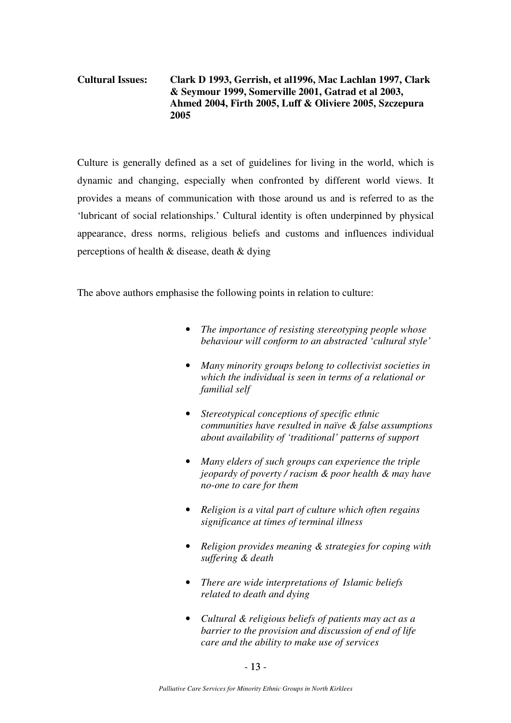## **Cultural Issues: Clark D 1993, Gerrish, et al1996, Mac Lachlan 1997, Clark & Seymour 1999, Somerville 2001, Gatrad et al 2003, Ahmed 2004, Firth 2005, Luff & Oliviere 2005, Szczepura 2005**

Culture is generally defined as a set of guidelines for living in the world, which is dynamic and changing, especially when confronted by different world views. It provides a means of communication with those around us and is referred to as the 'lubricant of social relationships.' Cultural identity is often underpinned by physical appearance, dress norms, religious beliefs and customs and influences individual perceptions of health & disease, death & dying

The above authors emphasise the following points in relation to culture:

- *The importance of resisting stereotyping people whose behaviour will conform to an abstracted 'cultural style'*
- *Many minority groups belong to collectivist societies in which the individual is seen in terms of a relational or familial self*
- *Stereotypical conceptions of specific ethnic communities have resulted in naïve & false assumptions about availability of 'traditional' patterns of support*
- *Many elders of such groups can experience the triple jeopardy of poverty / racism & poor health & may have no-one to care for them*
- *Religion is a vital part of culture which often regains significance at times of terminal illness*
- *Religion provides meaning & strategies for coping with suffering & death*
- *There are wide interpretations of Islamic beliefs related to death and dying*
- *Cultural & religious beliefs of patients may act as a barrier to the provision and discussion of end of life care and the ability to make use of services*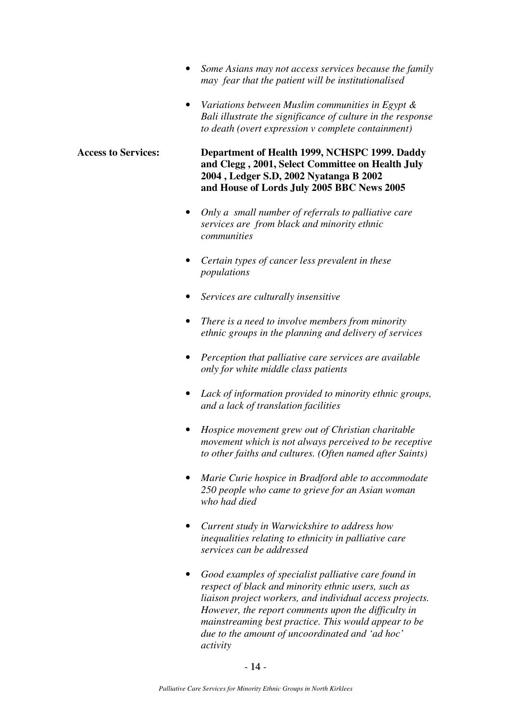- *Some Asians may not access services because the family may fear that the patient will be institutionalised*
- *Variations between Muslim communities in Egypt & Bali illustrate the significance of culture in the response to death (overt expression v complete containment)*

### **Access to Services: Department of Health 1999, NCHSPC 1999. Daddy and Clegg , 2001, Select Committee on Health July 2004 , Ledger S.D, 2002 Nyatanga B 2002 and House of Lords July 2005 BBC News 2005**

- *Only a small number of referrals to palliative care services are from black and minority ethnic communities*
- *Certain types of cancer less prevalent in these populations*
- *Services are culturally insensitive*
- *There is a need to involve members from minority ethnic groups in the planning and delivery of services*
- *Perception that palliative care services are available only for white middle class patients*
- *Lack of information provided to minority ethnic groups, and a lack of translation facilities*
- *Hospice movement grew out of Christian charitable movement which is not always perceived to be receptive to other faiths and cultures. (Often named after Saints)*
- *Marie Curie hospice in Bradford able to accommodate 250 people who came to grieve for an Asian woman who had died*
- *Current study in Warwickshire to address how inequalities relating to ethnicity in palliative care services can be addressed*
- *Good examples of specialist palliative care found in respect of black and minority ethnic users, such as liaison project workers, and individual access projects. However, the report comments upon the difficulty in mainstreaming best practice. This would appear to be due to the amount of uncoordinated and 'ad hoc' activity*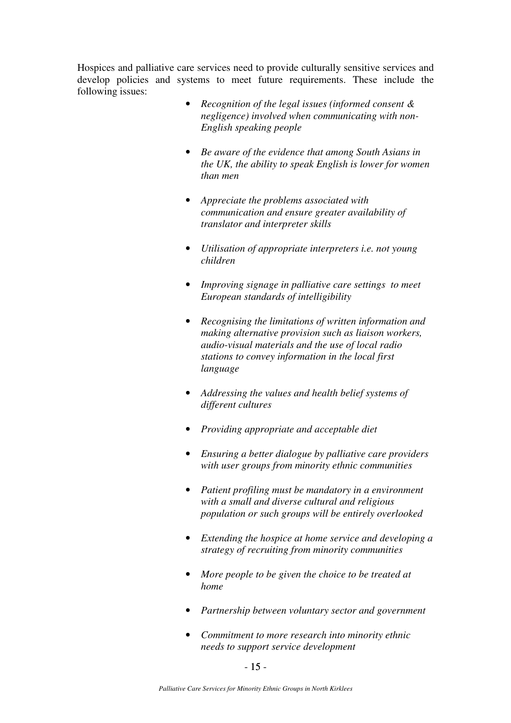Hospices and palliative care services need to provide culturally sensitive services and develop policies and systems to meet future requirements. These include the following issues:

- *Recognition of the legal issues (informed consent & negligence) involved when communicating with non-English speaking people*
- *Be aware of the evidence that among South Asians in the UK, the ability to speak English is lower for women than men*
- *Appreciate the problems associated with communication and ensure greater availability of translator and interpreter skills*
- *Utilisation of appropriate interpreters i.e. not young children*
- *Improving signage in palliative care settings to meet European standards of intelligibility*
- *Recognising the limitations of written information and making alternative provision such as liaison workers, audio-visual materials and the use of local radio stations to convey information in the local first language*
- *Addressing the values and health belief systems of different cultures*
- *Providing appropriate and acceptable diet*
- *Ensuring a better dialogue by palliative care providers with user groups from minority ethnic communities*
- *Patient profiling must be mandatory in a environment with a small and diverse cultural and religious population or such groups will be entirely overlooked*
- *Extending the hospice at home service and developing a strategy of recruiting from minority communities*
- *More people to be given the choice to be treated at home*
- *Partnership between voluntary sector and government*
- *Commitment to more research into minority ethnic needs to support service development*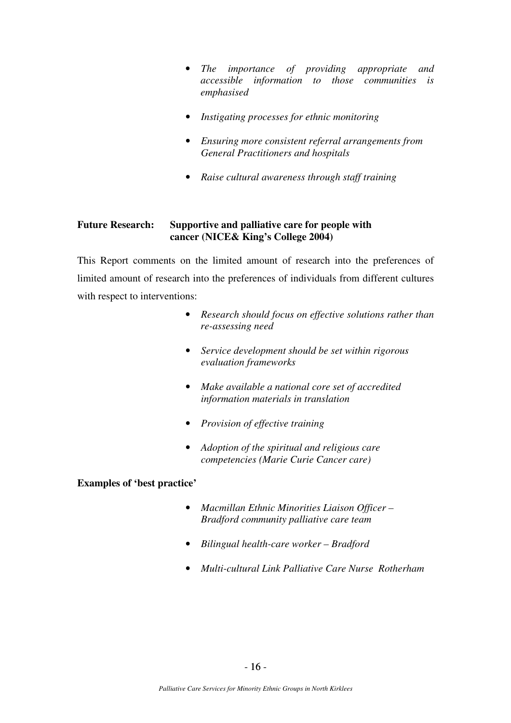- *The importance of providing appropriate and accessible information to those communities is emphasised*
- *Instigating processes for ethnic monitoring*
- *Ensuring more consistent referral arrangements from General Practitioners and hospitals*
- *Raise cultural awareness through staff training*

### **Future Research: Supportive and palliative care for people with cancer (NICE& King's College 2004)**

This Report comments on the limited amount of research into the preferences of limited amount of research into the preferences of individuals from different cultures with respect to interventions:

- *Research should focus on effective solutions rather than re-assessing need*
- *Service development should be set within rigorous evaluation frameworks*
- *Make available a national core set of accredited information materials in translation*
- *Provision of effective training*
- *Adoption of the spiritual and religious care competencies (Marie Curie Cancer care)*

### **Examples of 'best practice'**

- *Macmillan Ethnic Minorities Liaison Officer Bradford community palliative care team*
- *Bilingual health-care worker Bradford*
- *Multi-cultural Link Palliative Care Nurse Rotherham*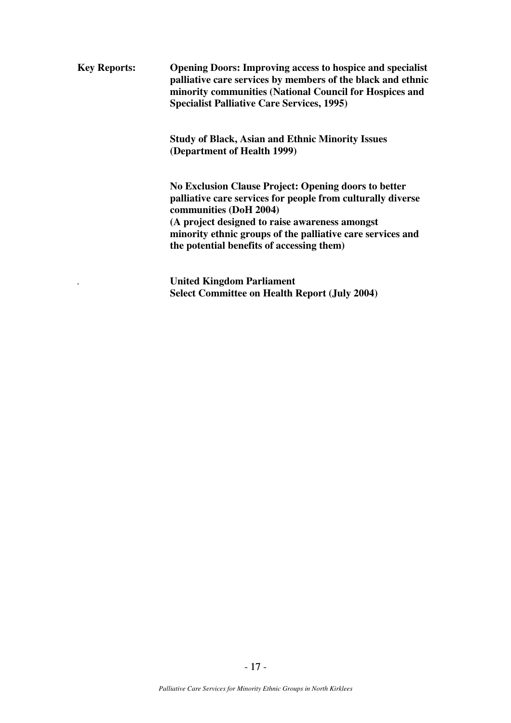**Key Reports: Opening Doors: Improving access to hospice and specialist palliative care services by members of the black and ethnic minority communities (National Council for Hospices and Specialist Palliative Care Services, 1995)** 

> **Study of Black, Asian and Ethnic Minority Issues (Department of Health 1999)**

**No Exclusion Clause Project: Opening doors to better palliative care services for people from culturally diverse communities (DoH 2004) (A project designed to raise awareness amongst minority ethnic groups of the palliative care services and the potential benefits of accessing them)** 

*.* **United Kingdom Parliament Select Committee on Health Report (July 2004)**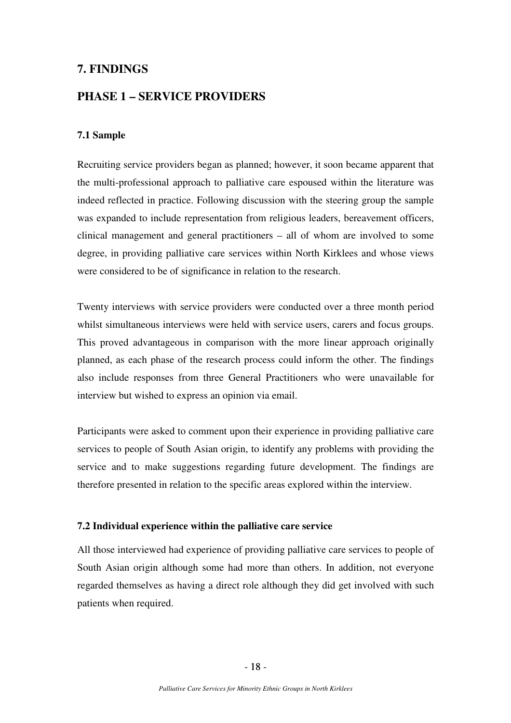## **7. FINDINGS**

## **PHASE 1 – SERVICE PROVIDERS**

### **7.1 Sample**

Recruiting service providers began as planned; however, it soon became apparent that the multi-professional approach to palliative care espoused within the literature was indeed reflected in practice. Following discussion with the steering group the sample was expanded to include representation from religious leaders, bereavement officers, clinical management and general practitioners – all of whom are involved to some degree, in providing palliative care services within North Kirklees and whose views were considered to be of significance in relation to the research.

Twenty interviews with service providers were conducted over a three month period whilst simultaneous interviews were held with service users, carers and focus groups. This proved advantageous in comparison with the more linear approach originally planned, as each phase of the research process could inform the other. The findings also include responses from three General Practitioners who were unavailable for interview but wished to express an opinion via email.

Participants were asked to comment upon their experience in providing palliative care services to people of South Asian origin, to identify any problems with providing the service and to make suggestions regarding future development. The findings are therefore presented in relation to the specific areas explored within the interview.

### **7.2 Individual experience within the palliative care service**

All those interviewed had experience of providing palliative care services to people of South Asian origin although some had more than others. In addition, not everyone regarded themselves as having a direct role although they did get involved with such patients when required.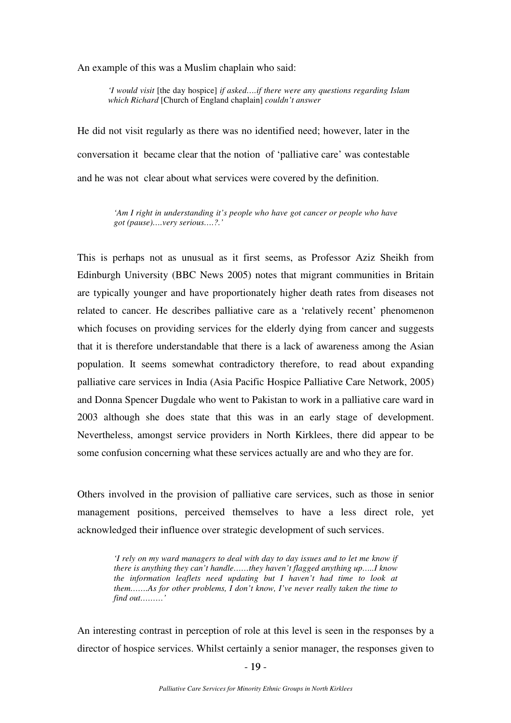An example of this was a Muslim chaplain who said:

*'I would visit* [the day hospice] *if asked….if there were any questions regarding Islam which Richard* [Church of England chaplain] *couldn't answer*

He did not visit regularly as there was no identified need; however, later in the conversation it became clear that the notion of 'palliative care' was contestable and he was not clear about what services were covered by the definition.

> *'Am I right in understanding it's people who have got cancer or people who have got (pause)….very serious….?.'*

This is perhaps not as unusual as it first seems, as Professor Aziz Sheikh from Edinburgh University (BBC News 2005) notes that migrant communities in Britain are typically younger and have proportionately higher death rates from diseases not related to cancer. He describes palliative care as a 'relatively recent' phenomenon which focuses on providing services for the elderly dying from cancer and suggests that it is therefore understandable that there is a lack of awareness among the Asian population. It seems somewhat contradictory therefore, to read about expanding palliative care services in India (Asia Pacific Hospice Palliative Care Network, 2005) and Donna Spencer Dugdale who went to Pakistan to work in a palliative care ward in 2003 although she does state that this was in an early stage of development. Nevertheless, amongst service providers in North Kirklees, there did appear to be some confusion concerning what these services actually are and who they are for.

Others involved in the provision of palliative care services, such as those in senior management positions, perceived themselves to have a less direct role, yet acknowledged their influence over strategic development of such services.

*'I rely on my ward managers to deal with day to day issues and to let me know if there is anything they can't handle……they haven't flagged anything up…..I know the information leaflets need updating but I haven't had time to look at them…….As for other problems, I don't know, I've never really taken the time to find out………'* 

An interesting contrast in perception of role at this level is seen in the responses by a director of hospice services. Whilst certainly a senior manager, the responses given to

 $-19$  - $-19-$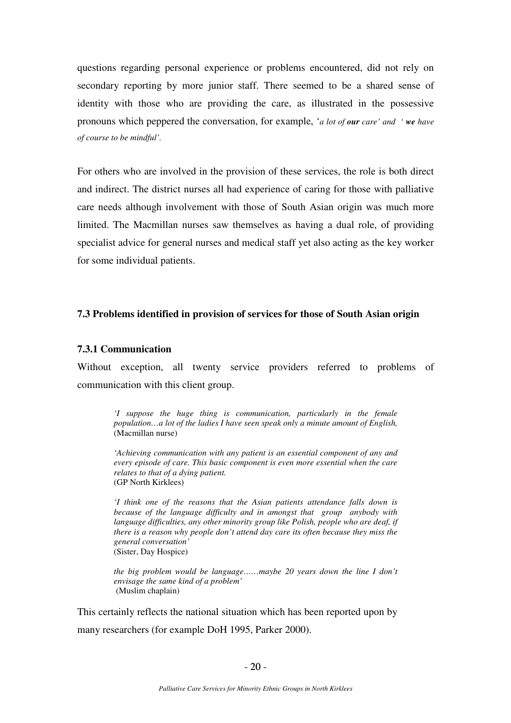questions regarding personal experience or problems encountered, did not rely on secondary reporting by more junior staff. There seemed to be a shared sense of identity with those who are providing the care, as illustrated in the possessive pronouns which peppered the conversation, for example, '*a lot of our care' and ' we have of course to be mindful'.* 

For others who are involved in the provision of these services, the role is both direct and indirect. The district nurses all had experience of caring for those with palliative care needs although involvement with those of South Asian origin was much more limited. The Macmillan nurses saw themselves as having a dual role, of providing specialist advice for general nurses and medical staff yet also acting as the key worker for some individual patients.

#### **7.3 Problems identified in provision of services for those of South Asian origin**

#### **7.3.1 Communication**

Without exception, all twenty service providers referred to problems of communication with this client group.

*'I suppose the huge thing is communication, particularly in the female population…a lot of the ladies I have seen speak only a minute amount of English,* (Macmillan nurse)

*'Achieving communication with any patient is an essential component of any and every episode of care. This basic component is even more essential when the care relates to that of a dying patient.*  (GP North Kirklees)

*'I think one of the reasons that the Asian patients attendance falls down is because of the language difficulty and in amongst that group anybody with language difficulties, any other minority group like Polish, people who are deaf, if there is a reason why people don't attend day care its often because they miss the general conversation'*  (Sister, Day Hospice)

*the big problem would be language……maybe 20 years down the line I don't envisage the same kind of a problem'*  (Muslim chaplain)

This certainly reflects the national situation which has been reported upon by many researchers (for example DoH 1995, Parker 2000).

 $-20$  - $-20-$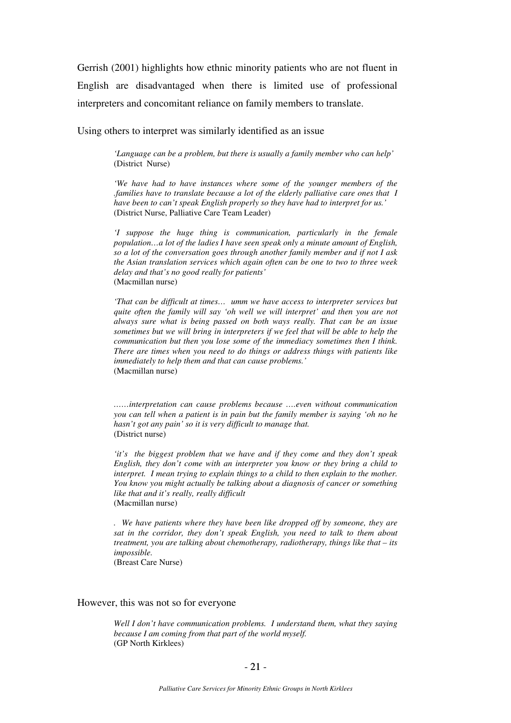Gerrish (2001) highlights how ethnic minority patients who are not fluent in English are disadvantaged when there is limited use of professional interpreters and concomitant reliance on family members to translate.

Using others to interpret was similarly identified as an issue

*'Language can be a problem, but there is usually a family member who can help'*  (District Nurse)

*'We have had to have instances where some of the younger members of the .families have to translate because a lot of the elderly palliative care ones that I have been to can't speak English properly so they have had to interpret for us.'*  (District Nurse, Palliative Care Team Leader)

*'I suppose the huge thing is communication, particularly in the female population…a lot of the ladies I have seen speak only a minute amount of English, so a lot of the conversation goes through another family member and if not I ask the Asian translation services which again often can be one to two to three week delay and that's no good really for patients'*  (Macmillan nurse)

*'That can be difficult at times… umm we have access to interpreter services but quite often the family will say 'oh well we will interpret' and then you are not always sure what is being passed on both ways really. That can be an issue sometimes but we will bring in interpreters if we feel that will be able to help the communication but then you lose some of the immediacy sometimes then I think. There are times when you need to do things or address things with patients like immediately to help them and that can cause problems.'*  (Macmillan nurse)

*……interpretation can cause problems because ….even without communication you can tell when a patient is in pain but the family member is saying 'oh no he hasn't got any pain' so it is very difficult to manage that.*  (District nurse)

*'it's the biggest problem that we have and if they come and they don't speak English, they don't come with an interpreter you know or they bring a child to interpret. I mean trying to explain things to a child to then explain to the mother. You know you might actually be talking about a diagnosis of cancer or something like that and it's really, really difficult*  (Macmillan nurse)

*. We have patients where they have been like dropped off by someone, they are sat in the corridor, they don't speak English, you need to talk to them about treatment, you are talking about chemotherapy, radiotherapy, things like that – its impossible.* 

(Breast Care Nurse)

#### However, this was not so for everyone

*Well I don't have communication problems. I understand them, what they saying because I am coming from that part of the world myself.*  (GP North Kirklees)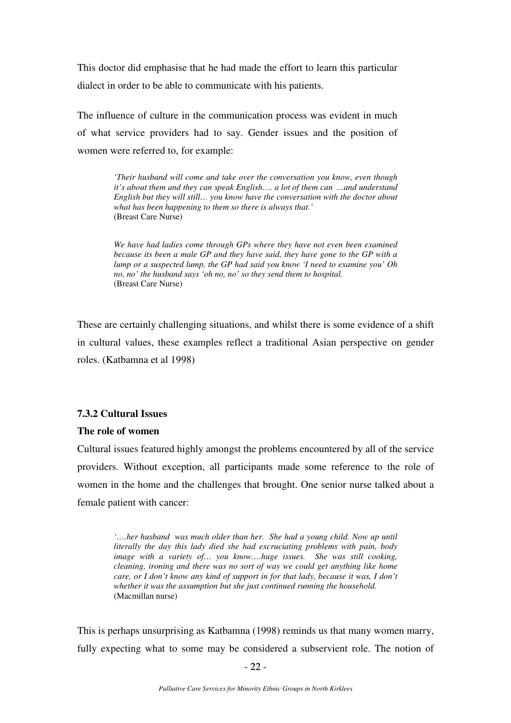This doctor did emphasise that he had made the effort to learn this particular dialect in order to be able to communicate with his patients.

The influence of culture in the communication process was evident in much of what service providers had to say. Gender issues and the position of women were referred to, for example:

> *'Their husband will come and take over the conversation you know, even though it's about them and they can speak English…. a lot of them can ...and understand English but they will still… you know have the conversation with the doctor about what has been happening to them so there is always that.'*  (Breast Care Nurse)

> *We have had ladies come through GPs where they have not even been examined because its been a male GP and they have said, they have gone to the GP with a lump or a suspected lump, the GP had said you know 'I need to examine you' Oh no, no' the husband says 'oh no, no' so they send them to hospital.*  (Breast Care Nurse)

These are certainly challenging situations, and whilst there is some evidence of a shift in cultural values, these examples reflect a traditional Asian perspective on gender roles. (Katbamna et al 1998)

## **7.3.2 Cultural Issues**

### **The role of women**

Cultural issues featured highly amongst the problems encountered by all of the service providers. Without exception, all participants made some reference to the role of women in the home and the challenges that brought. One senior nurse talked about a female patient with cancer:

*'….her husband was much older than her. She had a young child. Now up until literally the day this lady died she had excruciating problems with pain, body image with a variety of… you know….huge issues. She was still cooking, cleaning, ironing and there was no sort of way we could get anything like home care, or I don't know any kind of support in for that lady, because it was, I don't whether it was the assumption but she just continued running the household.*  (Macmillan nurse)

This is perhaps unsurprising as Katbamna (1998) reminds us that many women marry, fully expecting what to some may be considered a subservient role. The notion of

 $- 22 -22-$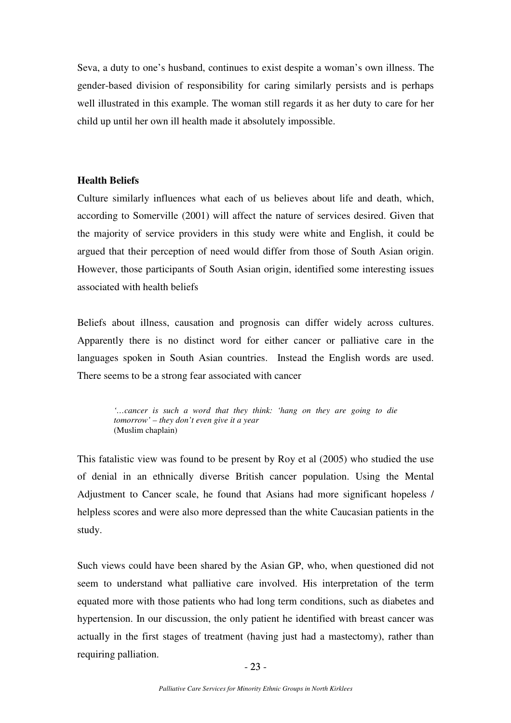Seva, a duty to one's husband, continues to exist despite a woman's own illness. The gender-based division of responsibility for caring similarly persists and is perhaps well illustrated in this example. The woman still regards it as her duty to care for her child up until her own ill health made it absolutely impossible.

### **Health Beliefs**

Culture similarly influences what each of us believes about life and death, which, according to Somerville (2001) will affect the nature of services desired. Given that the majority of service providers in this study were white and English, it could be argued that their perception of need would differ from those of South Asian origin. However, those participants of South Asian origin, identified some interesting issues associated with health beliefs

Beliefs about illness, causation and prognosis can differ widely across cultures. Apparently there is no distinct word for either cancer or palliative care in the languages spoken in South Asian countries. Instead the English words are used. There seems to be a strong fear associated with cancer

> *'…cancer is such a word that they think: 'hang on they are going to die tomorrow' – they don't even give it a year*  (Muslim chaplain)

This fatalistic view was found to be present by Roy et al (2005) who studied the use of denial in an ethnically diverse British cancer population. Using the Mental Adjustment to Cancer scale, he found that Asians had more significant hopeless / helpless scores and were also more depressed than the white Caucasian patients in the study.

Such views could have been shared by the Asian GP, who, when questioned did not seem to understand what palliative care involved. His interpretation of the term equated more with those patients who had long term conditions, such as diabetes and hypertension. In our discussion, the only patient he identified with breast cancer was actually in the first stages of treatment (having just had a mastectomy), rather than requiring palliation.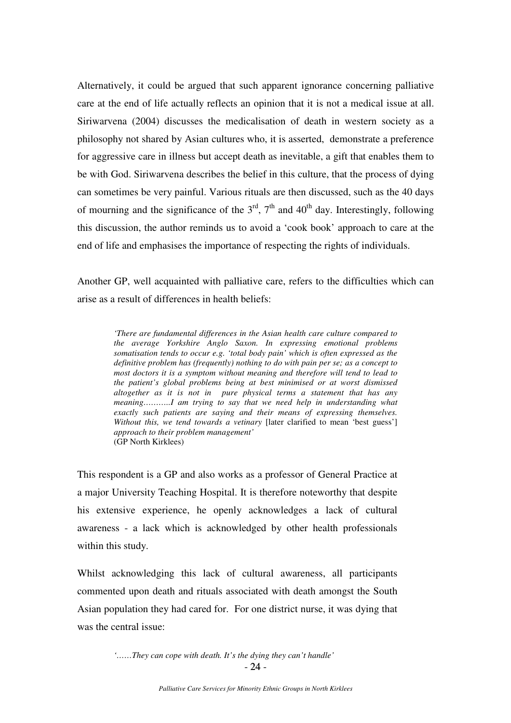Alternatively, it could be argued that such apparent ignorance concerning palliative care at the end of life actually reflects an opinion that it is not a medical issue at all. Siriwarvena (2004) discusses the medicalisation of death in western society as a philosophy not shared by Asian cultures who, it is asserted, demonstrate a preference for aggressive care in illness but accept death as inevitable, a gift that enables them to be with God. Siriwarvena describes the belief in this culture, that the process of dying can sometimes be very painful. Various rituals are then discussed, such as the 40 days of mourning and the significance of the  $3<sup>rd</sup>$ ,  $7<sup>th</sup>$  and  $40<sup>th</sup>$  day. Interestingly, following this discussion, the author reminds us to avoid a 'cook book' approach to care at the end of life and emphasises the importance of respecting the rights of individuals.

Another GP, well acquainted with palliative care, refers to the difficulties which can arise as a result of differences in health beliefs:

*'There are fundamental differences in the Asian health care culture compared to the average Yorkshire Anglo Saxon. In expressing emotional problems somatisation tends to occur e.g. 'total body pain' which is often expressed as the definitive problem has (frequently) nothing to do with pain per se; as a concept to most doctors it is a symptom without meaning and therefore will tend to lead to the patient's global problems being at best minimised or at worst dismissed altogether as it is not in pure physical terms a statement that has any meaning………..I am trying to say that we need help in understanding what exactly such patients are saying and their means of expressing themselves. Without this, we tend towards a vetinary* [later clarified to mean 'best guess'] *approach to their problem management'*  (GP North Kirklees)

This respondent is a GP and also works as a professor of General Practice at a major University Teaching Hospital. It is therefore noteworthy that despite his extensive experience, he openly acknowledges a lack of cultural awareness - a lack which is acknowledged by other health professionals within this study.

Whilst acknowledging this lack of cultural awareness, all participants commented upon death and rituals associated with death amongst the South Asian population they had cared for. For one district nurse, it was dying that was the central issue:

 - 24 -  $-24-$ *'……They can cope with death. It's the dying they can't handle'*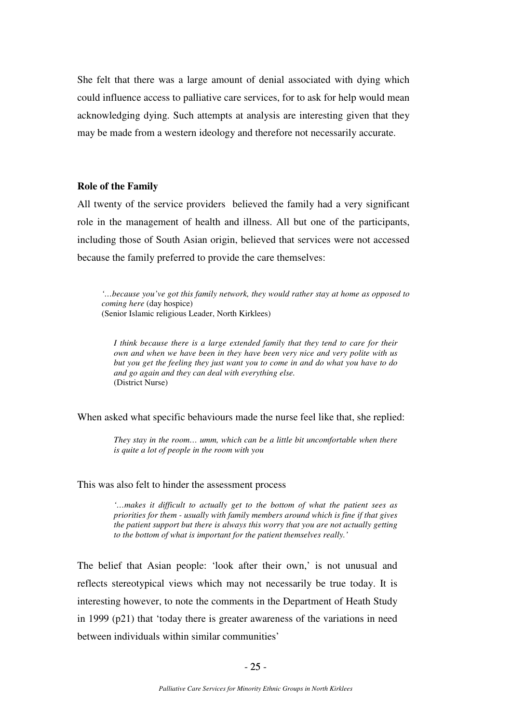She felt that there was a large amount of denial associated with dying which could influence access to palliative care services, for to ask for help would mean acknowledging dying. Such attempts at analysis are interesting given that they may be made from a western ideology and therefore not necessarily accurate.

### **Role of the Family**

All twenty of the service providers believed the family had a very significant role in the management of health and illness. All but one of the participants, including those of South Asian origin, believed that services were not accessed because the family preferred to provide the care themselves:

*'…because you've got this family network, they would rather stay at home as opposed to coming here* (day hospice) (Senior Islamic religious Leader, North Kirklees)

*I think because there is a large extended family that they tend to care for their own and when we have been in they have been very nice and very polite with us but you get the feeling they just want you to come in and do what you have to do and go again and they can deal with everything else.*  (District Nurse)

When asked what specific behaviours made the nurse feel like that, she replied:

*They stay in the room… umm, which can be a little bit uncomfortable when there is quite a lot of people in the room with you* 

#### This was also felt to hinder the assessment process

*'…makes it difficult to actually get to the bottom of what the patient sees as priorities for them - usually with family members around which is fine if that gives the patient support but there is always this worry that you are not actually getting to the bottom of what is important for the patient themselves really.'* 

The belief that Asian people: 'look after their own,' is not unusual and reflects stereotypical views which may not necessarily be true today. It is interesting however, to note the comments in the Department of Heath Study in 1999 (p21) that 'today there is greater awareness of the variations in need between individuals within similar communities'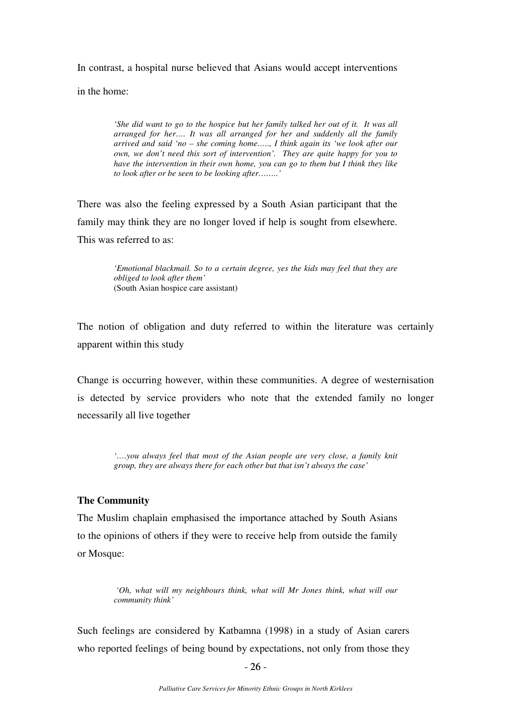In contrast, a hospital nurse believed that Asians would accept interventions

in the home:

*'She did want to go to the hospice but her family talked her out of it. It was all arranged for her…. It was all arranged for her and suddenly all the family arrived and said 'no – she coming home….., I think again its 'we look after our own, we don't need this sort of intervention'. They are quite happy for you to have the intervention in their own home, you can go to them but I think they like to look after or be seen to be looking after……..'* 

There was also the feeling expressed by a South Asian participant that the family may think they are no longer loved if help is sought from elsewhere. This was referred to as:

> *'Emotional blackmail. So to a certain degree, yes the kids may feel that they are obliged to look after them'*  (South Asian hospice care assistant)

The notion of obligation and duty referred to within the literature was certainly apparent within this study

Change is occurring however, within these communities. A degree of westernisation is detected by service providers who note that the extended family no longer necessarily all live together

*'….you always feel that most of the Asian people are very close, a family knit group, they are always there for each other but that isn't always the case'* 

#### **The Community**

The Muslim chaplain emphasised the importance attached by South Asians to the opinions of others if they were to receive help from outside the family or Mosque:

> *'Oh, what will my neighbours think, what will Mr Jones think, what will our community think'*

Such feelings are considered by Katbamna (1998) in a study of Asian carers who reported feelings of being bound by expectations, not only from those they

 $- 26 -26-$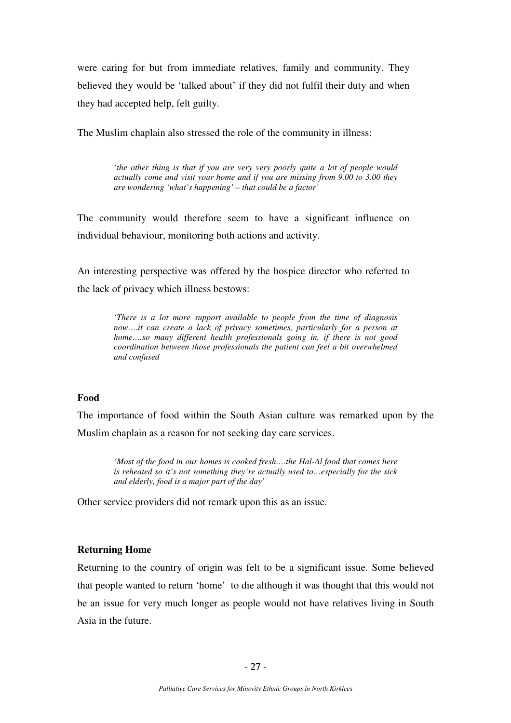were caring for but from immediate relatives, family and community. They believed they would be 'talked about' if they did not fulfil their duty and when they had accepted help, felt guilty.

The Muslim chaplain also stressed the role of the community in illness:

*'the other thing is that if you are very very poorly quite a lot of people would actually come and visit your home and if you are missing from 9.00 to 3.00 they are wondering 'what's happening' – that could be a factor'* 

The community would therefore seem to have a significant influence on individual behaviour, monitoring both actions and activity.

An interesting perspective was offered by the hospice director who referred to the lack of privacy which illness bestows:

> *'There is a lot more support available to people from the time of diagnosis*  now....*it can create a lack of privacy sometimes, particularly for a person at home….so many different health professionals going in, if there is not good coordination between those professionals the patient can feel a bit overwhelmed and confused*

#### **Food**

The importance of food within the South Asian culture was remarked upon by the Muslim chaplain as a reason for not seeking day care services.

*'Most of the food in our homes is cooked fresh….the Hal-Al food that comes here is reheated so it's not something they're actually used to…especially for the sick and elderly, food is a major part of the day'* 

Other service providers did not remark upon this as an issue.

### **Returning Home**

Returning to the country of origin was felt to be a significant issue. Some believed that people wanted to return 'home' to die although it was thought that this would not be an issue for very much longer as people would not have relatives living in South Asia in the future.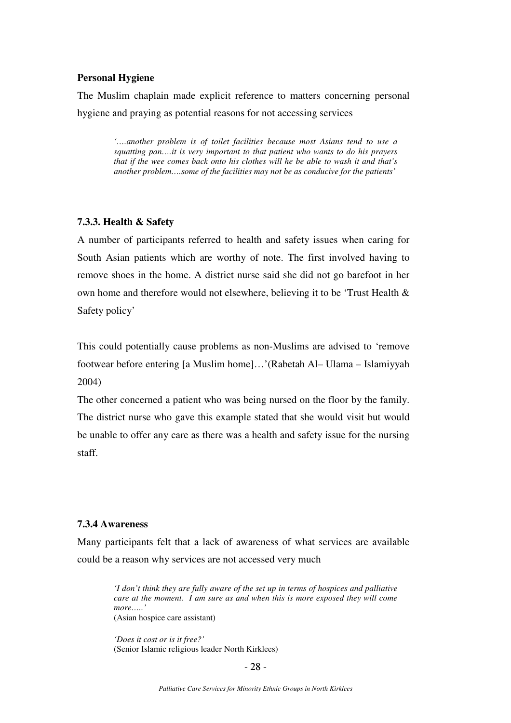### **Personal Hygiene**

The Muslim chaplain made explicit reference to matters concerning personal hygiene and praying as potential reasons for not accessing services

> *'….another problem is of toilet facilities because most Asians tend to use a squatting pan….it is very important to that patient who wants to do his prayers that if the wee comes back onto his clothes will he be able to wash it and that's another problem….some of the facilities may not be as conducive for the patients'*

#### **7.3.3. Health & Safety**

A number of participants referred to health and safety issues when caring for South Asian patients which are worthy of note. The first involved having to remove shoes in the home. A district nurse said she did not go barefoot in her own home and therefore would not elsewhere, believing it to be 'Trust Health & Safety policy'

This could potentially cause problems as non-Muslims are advised to 'remove footwear before entering [a Muslim home]…'(Rabetah Al– Ulama – Islamiyyah 2004)

The other concerned a patient who was being nursed on the floor by the family. The district nurse who gave this example stated that she would visit but would be unable to offer any care as there was a health and safety issue for the nursing staff.

### **7.3.4 Awareness**

Many participants felt that a lack of awareness of what services are available could be a reason why services are not accessed very much

> *'I don't think they are fully aware of the set up in terms of hospices and palliative care at the moment. I am sure as and when this is more exposed they will come more…..'*  (Asian hospice care assistant)

*'Does it cost or is it free?'*  (Senior Islamic religious leader North Kirklees)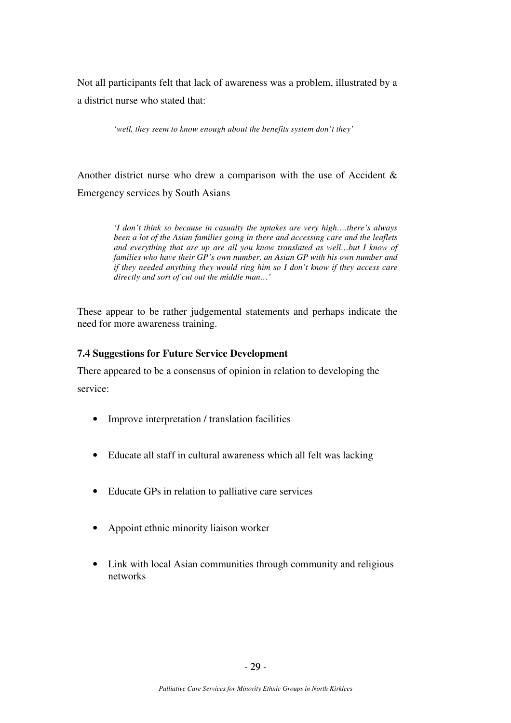Not all participants felt that lack of awareness was a problem, illustrated by a a district nurse who stated that:

*'well, they seem to know enough about the benefits system don't they'* 

Another district nurse who drew a comparison with the use of Accident & Emergency services by South Asians

> *'I don't think so because in casualty the uptakes are very high….there's always been a lot of the Asian families going in there and accessing care and the leaflets and everything that are up are all you know translated as well…but I know of families who have their GP's own number, an Asian GP with his own number and if they needed anything they would ring him so I don't know if they access care directly and sort of cut out the middle man…'*

These appear to be rather judgemental statements and perhaps indicate the need for more awareness training.

### **7.4 Suggestions for Future Service Development**

There appeared to be a consensus of opinion in relation to developing the service:

- Improve interpretation / translation facilities
- Educate all staff in cultural awareness which all felt was lacking
- Educate GPs in relation to palliative care services
- Appoint ethnic minority liaison worker
- Link with local Asian communities through community and religious networks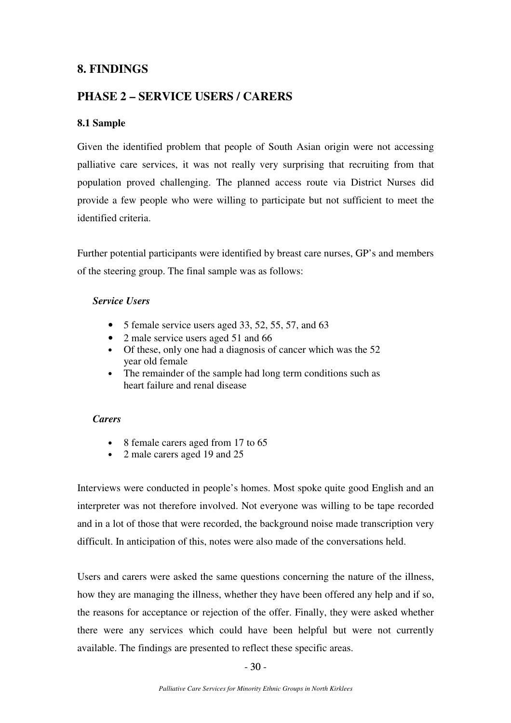# **8. FINDINGS**

# **PHASE 2 – SERVICE USERS / CARERS**

## **8.1 Sample**

Given the identified problem that people of South Asian origin were not accessing palliative care services, it was not really very surprising that recruiting from that population proved challenging. The planned access route via District Nurses did provide a few people who were willing to participate but not sufficient to meet the identified criteria.

Further potential participants were identified by breast care nurses, GP's and members of the steering group. The final sample was as follows:

### *Service Users*

- 5 female service users aged 33, 52, 55, 57, and 63
- 2 male service users aged 51 and 66
- Of these, only one had a diagnosis of cancer which was the 52 year old female
- The remainder of the sample had long term conditions such as heart failure and renal disease

### *Carers*

- 8 female carers aged from 17 to 65
- 2 male carers aged 19 and 25

Interviews were conducted in people's homes. Most spoke quite good English and an interpreter was not therefore involved. Not everyone was willing to be tape recorded and in a lot of those that were recorded, the background noise made transcription very difficult. In anticipation of this, notes were also made of the conversations held.

Users and carers were asked the same questions concerning the nature of the illness, how they are managing the illness, whether they have been offered any help and if so, the reasons for acceptance or rejection of the offer. Finally, they were asked whether there were any services which could have been helpful but were not currently available. The findings are presented to reflect these specific areas.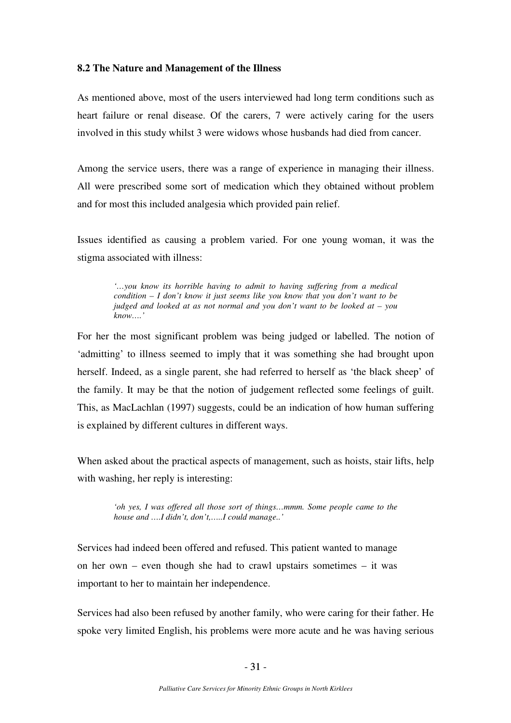### **8.2 The Nature and Management of the Illness**

As mentioned above, most of the users interviewed had long term conditions such as heart failure or renal disease. Of the carers, 7 were actively caring for the users involved in this study whilst 3 were widows whose husbands had died from cancer.

Among the service users, there was a range of experience in managing their illness. All were prescribed some sort of medication which they obtained without problem and for most this included analgesia which provided pain relief.

Issues identified as causing a problem varied. For one young woman, it was the stigma associated with illness:

*'…you know its horrible having to admit to having suffering from a medical condition – I don't know it just seems like you know that you don't want to be judged and looked at as not normal and you don't want to be looked at – you know….'* 

For her the most significant problem was being judged or labelled. The notion of 'admitting' to illness seemed to imply that it was something she had brought upon herself. Indeed, as a single parent, she had referred to herself as 'the black sheep' of the family. It may be that the notion of judgement reflected some feelings of guilt. This, as MacLachlan (1997) suggests, could be an indication of how human suffering is explained by different cultures in different ways.

When asked about the practical aspects of management, such as hoists, stair lifts, help with washing, her reply is interesting:

> *'oh yes, I was offered all those sort of things…mmm. Some people came to the house and ….I didn't, don't,…..I could manage..'*

Services had indeed been offered and refused. This patient wanted to manage on her own – even though she had to crawl upstairs sometimes – it was important to her to maintain her independence.

Services had also been refused by another family, who were caring for their father. He spoke very limited English, his problems were more acute and he was having serious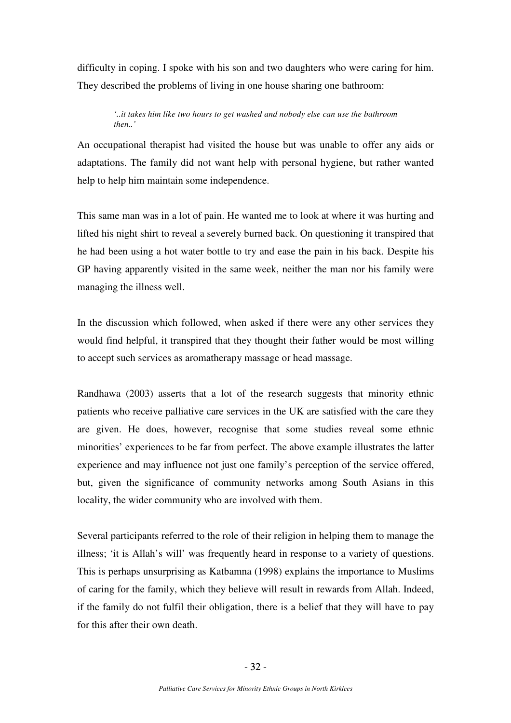difficulty in coping. I spoke with his son and two daughters who were caring for him. They described the problems of living in one house sharing one bathroom:

#### *'..it takes him like two hours to get washed and nobody else can use the bathroom then..'*

An occupational therapist had visited the house but was unable to offer any aids or adaptations. The family did not want help with personal hygiene, but rather wanted help to help him maintain some independence.

This same man was in a lot of pain. He wanted me to look at where it was hurting and lifted his night shirt to reveal a severely burned back. On questioning it transpired that he had been using a hot water bottle to try and ease the pain in his back. Despite his GP having apparently visited in the same week, neither the man nor his family were managing the illness well.

In the discussion which followed, when asked if there were any other services they would find helpful, it transpired that they thought their father would be most willing to accept such services as aromatherapy massage or head massage.

Randhawa (2003) asserts that a lot of the research suggests that minority ethnic patients who receive palliative care services in the UK are satisfied with the care they are given. He does, however, recognise that some studies reveal some ethnic minorities' experiences to be far from perfect. The above example illustrates the latter experience and may influence not just one family's perception of the service offered, but, given the significance of community networks among South Asians in this locality, the wider community who are involved with them.

Several participants referred to the role of their religion in helping them to manage the illness; 'it is Allah's will' was frequently heard in response to a variety of questions. This is perhaps unsurprising as Katbamna (1998) explains the importance to Muslims of caring for the family, which they believe will result in rewards from Allah. Indeed, if the family do not fulfil their obligation, there is a belief that they will have to pay for this after their own death.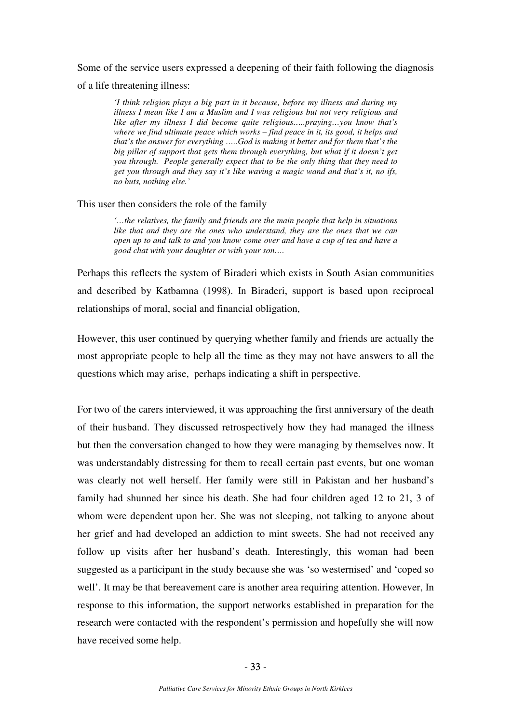Some of the service users expressed a deepening of their faith following the diagnosis of a life threatening illness:

*'I think religion plays a big part in it because, before my illness and during my illness I mean like I am a Muslim and I was religious but not very religious and like after my illness I did become quite religious…..praying…you know that's where we find ultimate peace which works – find peace in it, its good, it helps and that's the answer for everything …..God is making it better and for them that's the big pillar of support that gets them through everything, but what if it doesn't get you through. People generally expect that to be the only thing that they need to get you through and they say it's like waving a magic wand and that's it, no ifs, no buts, nothing else.'* 

#### This user then considers the role of the family

*'…the relatives, the family and friends are the main people that help in situations like that and they are the ones who understand, they are the ones that we can open up to and talk to and you know come over and have a cup of tea and have a good chat with your daughter or with your son….* 

Perhaps this reflects the system of Biraderi which exists in South Asian communities and described by Katbamna (1998). In Biraderi, support is based upon reciprocal relationships of moral, social and financial obligation,

However, this user continued by querying whether family and friends are actually the most appropriate people to help all the time as they may not have answers to all the questions which may arise, perhaps indicating a shift in perspective.

For two of the carers interviewed, it was approaching the first anniversary of the death of their husband. They discussed retrospectively how they had managed the illness but then the conversation changed to how they were managing by themselves now. It was understandably distressing for them to recall certain past events, but one woman was clearly not well herself. Her family were still in Pakistan and her husband's family had shunned her since his death. She had four children aged 12 to 21, 3 of whom were dependent upon her. She was not sleeping, not talking to anyone about her grief and had developed an addiction to mint sweets. She had not received any follow up visits after her husband's death. Interestingly, this woman had been suggested as a participant in the study because she was 'so westernised' and 'coped so well'. It may be that bereavement care is another area requiring attention. However, In response to this information, the support networks established in preparation for the research were contacted with the respondent's permission and hopefully she will now have received some help.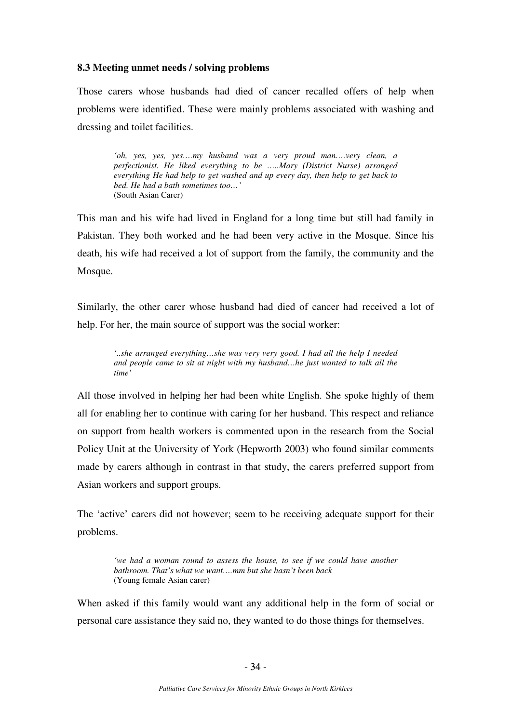### **8.3 Meeting unmet needs / solving problems**

Those carers whose husbands had died of cancer recalled offers of help when problems were identified. These were mainly problems associated with washing and dressing and toilet facilities.

*'oh, yes, yes, yes….my husband was a very proud man….very clean, a perfectionist. He liked everything to be …..Mary (District Nurse) arranged everything He had help to get washed and up every day, then help to get back to bed. He had a bath sometimes too…'*  (South Asian Carer)

This man and his wife had lived in England for a long time but still had family in Pakistan. They both worked and he had been very active in the Mosque. Since his death, his wife had received a lot of support from the family, the community and the Mosque.

Similarly, the other carer whose husband had died of cancer had received a lot of help. For her, the main source of support was the social worker:

> *'..she arranged everything…she was very very good. I had all the help I needed and people came to sit at night with my husband…he just wanted to talk all the time'*

All those involved in helping her had been white English. She spoke highly of them all for enabling her to continue with caring for her husband. This respect and reliance on support from health workers is commented upon in the research from the Social Policy Unit at the University of York (Hepworth 2003) who found similar comments made by carers although in contrast in that study, the carers preferred support from Asian workers and support groups.

The 'active' carers did not however; seem to be receiving adequate support for their problems.

*'we had a woman round to assess the house, to see if we could have another bathroom. That's what we want….mm but she hasn't been back*  (Young female Asian carer)

When asked if this family would want any additional help in the form of social or personal care assistance they said no, they wanted to do those things for themselves.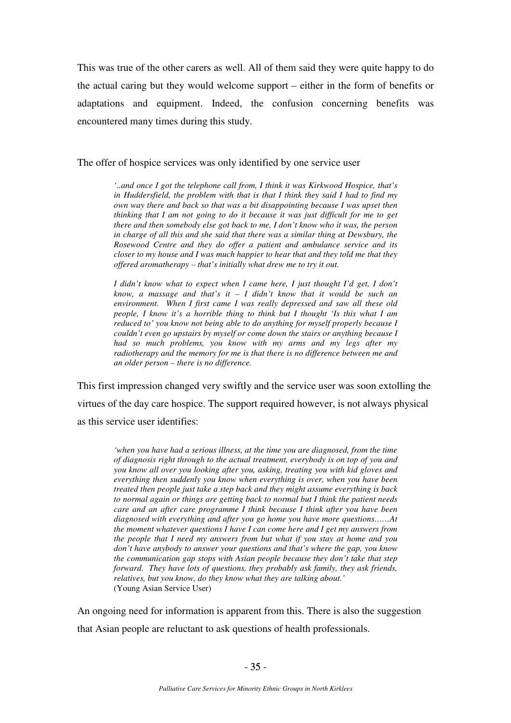This was true of the other carers as well. All of them said they were quite happy to do the actual caring but they would welcome support – either in the form of benefits or adaptations and equipment. Indeed, the confusion concerning benefits was encountered many times during this study.

The offer of hospice services was only identified by one service user

*'..and once I got the telephone call from, I think it was Kirkwood Hospice, that's in Huddersfield, the problem with that is that I think they said I had to find my own way there and back so that was a bit disappointing because I was upset then thinking that I am not going to do it because it was just difficult for me to get there and then somebody else got back to me, I don't know who it was, the person in charge of all this and she said that there was a similar thing at Dewsbury, the Rosewood Centre and they do offer a patient and ambulance service and its closer to my house and I was much happier to hear that and they told me that they offered aromatherapy – that's initially what drew me to try it out.* 

*I didn't know what to expect when I came here, I just thought I'd get, I don't know, a massage and that's it – I didn't know that it would be such an environment. When I first came I was really depressed and saw all these old people, I know it's a horrible thing to think but I thought 'Is this what I am reduced to' you know not being able to do anything for myself properly because I couldn't even go upstairs by myself or come down the stairs or anything because I had so much problems, you know with my arms and my legs after my radiotherapy and the memory for me is that there is no difference between me and an older person – there is no difference.* 

This first impression changed very swiftly and the service user was soon extolling the virtues of the day care hospice. The support required however, is not always physical as this service user identifies:

> *'when you have had a serious illness, at the time you are diagnosed, from the time of diagnosis right through to the actual treatment, everybody is on top of you and you know all over you looking after you, asking, treating you with kid gloves and everything then suddenly you know when everything is over, when you have been treated then people just take a step back and they might assume everything is back to normal again or things are getting back to normal but I think the patient needs care and an after care programme I think because I think after you have been diagnosed with everything and after you go home you have more questions……At the moment whatever questions I have I can come here and I get my answers from the people that I need my answers from but what if you stay at home and you don't have anybody to answer your questions and that's where the gap, you know the communication gap stops with Asian people because they don't take that step forward. They have lots of questions, they probably ask family, they ask friends, relatives, but you know, do they know what they are talking about.'*  (Young Asian Service User)

An ongoing need for information is apparent from this. There is also the suggestion that Asian people are reluctant to ask questions of health professionals.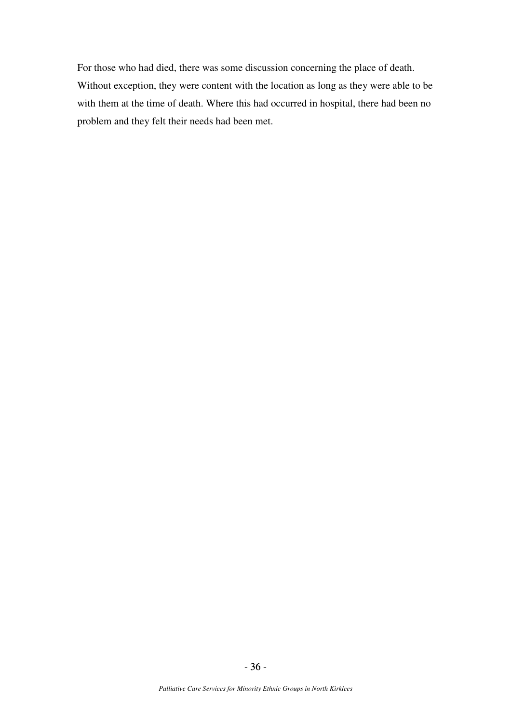For those who had died, there was some discussion concerning the place of death. Without exception, they were content with the location as long as they were able to be with them at the time of death. Where this had occurred in hospital, there had been no problem and they felt their needs had been met.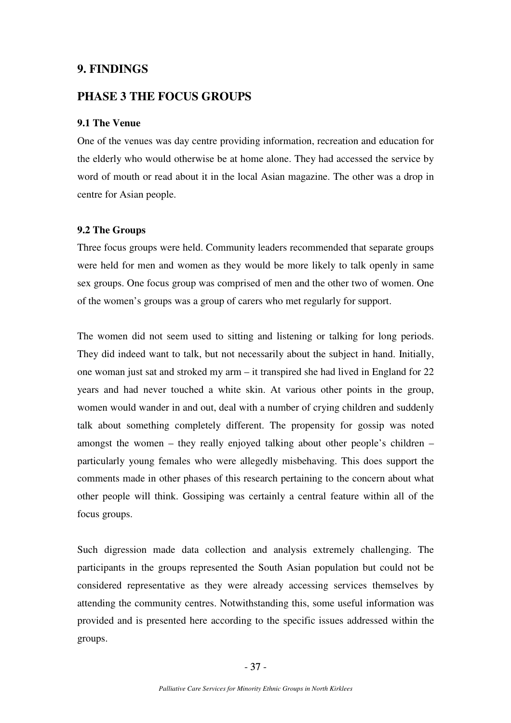### **9. FINDINGS**

## **PHASE 3 THE FOCUS GROUPS**

### **9.1 The Venue**

One of the venues was day centre providing information, recreation and education for the elderly who would otherwise be at home alone. They had accessed the service by word of mouth or read about it in the local Asian magazine. The other was a drop in centre for Asian people.

### **9.2 The Groups**

Three focus groups were held. Community leaders recommended that separate groups were held for men and women as they would be more likely to talk openly in same sex groups. One focus group was comprised of men and the other two of women. One of the women's groups was a group of carers who met regularly for support.

The women did not seem used to sitting and listening or talking for long periods. They did indeed want to talk, but not necessarily about the subject in hand. Initially, one woman just sat and stroked my arm – it transpired she had lived in England for 22 years and had never touched a white skin. At various other points in the group, women would wander in and out, deal with a number of crying children and suddenly talk about something completely different. The propensity for gossip was noted amongst the women – they really enjoyed talking about other people's children – particularly young females who were allegedly misbehaving. This does support the comments made in other phases of this research pertaining to the concern about what other people will think. Gossiping was certainly a central feature within all of the focus groups.

Such digression made data collection and analysis extremely challenging. The participants in the groups represented the South Asian population but could not be considered representative as they were already accessing services themselves by attending the community centres. Notwithstanding this, some useful information was provided and is presented here according to the specific issues addressed within the groups.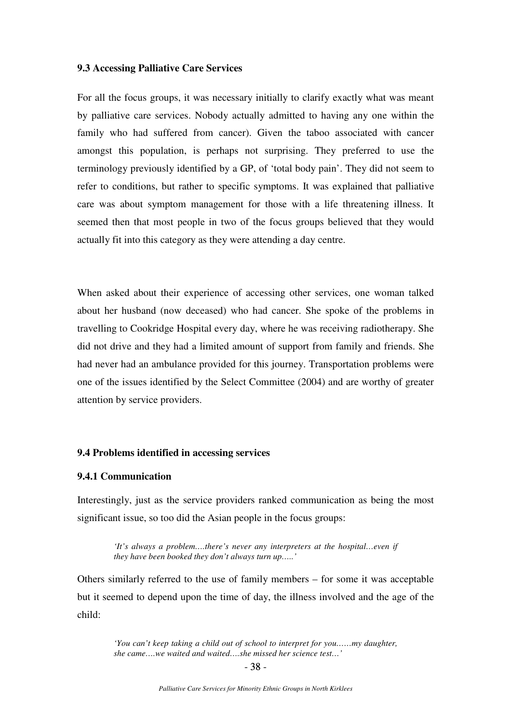### **9.3 Accessing Palliative Care Services**

For all the focus groups, it was necessary initially to clarify exactly what was meant by palliative care services. Nobody actually admitted to having any one within the family who had suffered from cancer). Given the taboo associated with cancer amongst this population, is perhaps not surprising. They preferred to use the terminology previously identified by a GP, of 'total body pain'. They did not seem to refer to conditions, but rather to specific symptoms. It was explained that palliative care was about symptom management for those with a life threatening illness. It seemed then that most people in two of the focus groups believed that they would actually fit into this category as they were attending a day centre.

When asked about their experience of accessing other services, one woman talked about her husband (now deceased) who had cancer. She spoke of the problems in travelling to Cookridge Hospital every day, where he was receiving radiotherapy. She did not drive and they had a limited amount of support from family and friends. She had never had an ambulance provided for this journey. Transportation problems were one of the issues identified by the Select Committee (2004) and are worthy of greater attention by service providers.

#### **9.4 Problems identified in accessing services**

#### **9.4.1 Communication**

Interestingly, just as the service providers ranked communication as being the most significant issue, so too did the Asian people in the focus groups:

> *'It's always a problem….there's never any interpreters at the hospital…even if they have been booked they don't always turn up…..'*

Others similarly referred to the use of family members – for some it was acceptable but it seemed to depend upon the time of day, the illness involved and the age of the child:

> *'You can't keep taking a child out of school to interpret for you……my daughter, she came….we waited and waited….she missed her science test…'*

 - 38 -  $-38-$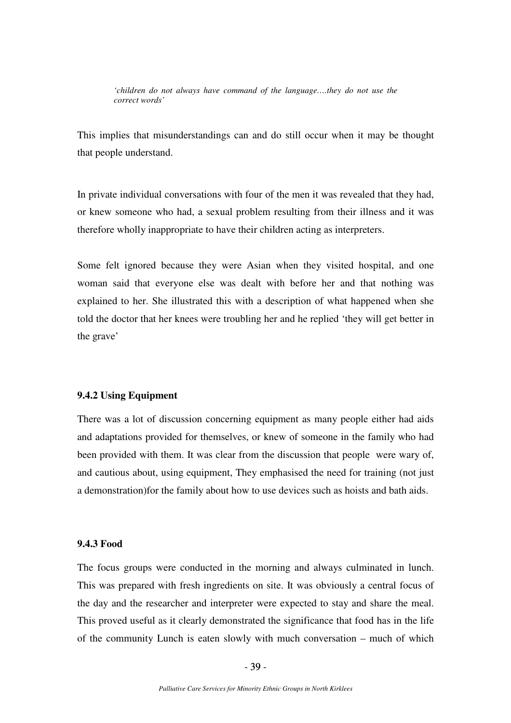*'children do not always have command of the language….they do not use the correct words'* 

This implies that misunderstandings can and do still occur when it may be thought that people understand.

In private individual conversations with four of the men it was revealed that they had, or knew someone who had, a sexual problem resulting from their illness and it was therefore wholly inappropriate to have their children acting as interpreters.

Some felt ignored because they were Asian when they visited hospital, and one woman said that everyone else was dealt with before her and that nothing was explained to her. She illustrated this with a description of what happened when she told the doctor that her knees were troubling her and he replied 'they will get better in the grave'

### **9.4.2 Using Equipment**

There was a lot of discussion concerning equipment as many people either had aids and adaptations provided for themselves, or knew of someone in the family who had been provided with them. It was clear from the discussion that people were wary of, and cautious about, using equipment, They emphasised the need for training (not just a demonstration)for the family about how to use devices such as hoists and bath aids.

### **9.4.3 Food**

The focus groups were conducted in the morning and always culminated in lunch. This was prepared with fresh ingredients on site. It was obviously a central focus of the day and the researcher and interpreter were expected to stay and share the meal. This proved useful as it clearly demonstrated the significance that food has in the life of the community Lunch is eaten slowly with much conversation – much of which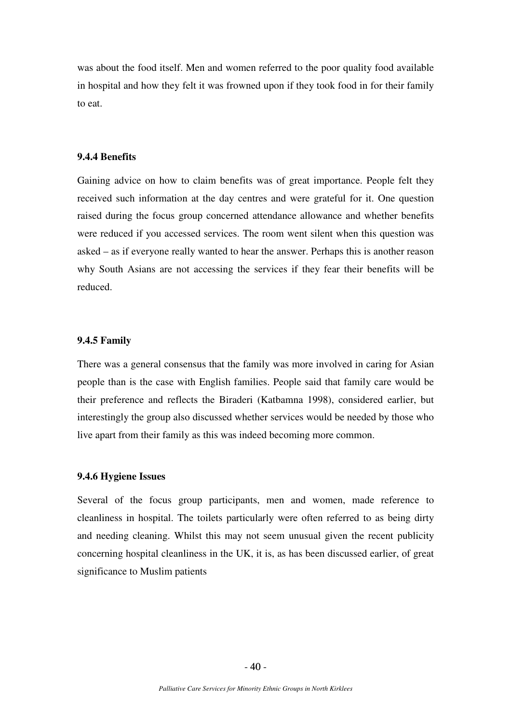was about the food itself. Men and women referred to the poor quality food available in hospital and how they felt it was frowned upon if they took food in for their family to eat.

#### **9.4.4 Benefits**

Gaining advice on how to claim benefits was of great importance. People felt they received such information at the day centres and were grateful for it. One question raised during the focus group concerned attendance allowance and whether benefits were reduced if you accessed services. The room went silent when this question was asked – as if everyone really wanted to hear the answer. Perhaps this is another reason why South Asians are not accessing the services if they fear their benefits will be reduced.

#### **9.4.5 Family**

There was a general consensus that the family was more involved in caring for Asian people than is the case with English families. People said that family care would be their preference and reflects the Biraderi (Katbamna 1998), considered earlier, but interestingly the group also discussed whether services would be needed by those who live apart from their family as this was indeed becoming more common.

#### **9.4.6 Hygiene Issues**

Several of the focus group participants, men and women, made reference to cleanliness in hospital. The toilets particularly were often referred to as being dirty and needing cleaning. Whilst this may not seem unusual given the recent publicity concerning hospital cleanliness in the UK, it is, as has been discussed earlier, of great significance to Muslim patients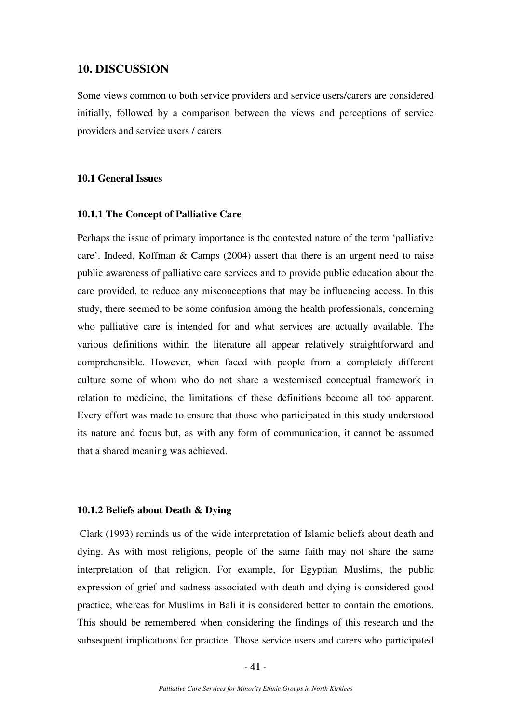### **10. DISCUSSION**

Some views common to both service providers and service users/carers are considered initially, followed by a comparison between the views and perceptions of service providers and service users / carers

### **10.1 General Issues**

### **10.1.1 The Concept of Palliative Care**

Perhaps the issue of primary importance is the contested nature of the term 'palliative care'. Indeed, Koffman & Camps (2004) assert that there is an urgent need to raise public awareness of palliative care services and to provide public education about the care provided, to reduce any misconceptions that may be influencing access. In this study, there seemed to be some confusion among the health professionals, concerning who palliative care is intended for and what services are actually available. The various definitions within the literature all appear relatively straightforward and comprehensible. However, when faced with people from a completely different culture some of whom who do not share a westernised conceptual framework in relation to medicine, the limitations of these definitions become all too apparent. Every effort was made to ensure that those who participated in this study understood its nature and focus but, as with any form of communication, it cannot be assumed that a shared meaning was achieved.

#### **10.1.2 Beliefs about Death & Dying**

 Clark (1993) reminds us of the wide interpretation of Islamic beliefs about death and dying. As with most religions, people of the same faith may not share the same interpretation of that religion. For example, for Egyptian Muslims, the public expression of grief and sadness associated with death and dying is considered good practice, whereas for Muslims in Bali it is considered better to contain the emotions. This should be remembered when considering the findings of this research and the subsequent implications for practice. Those service users and carers who participated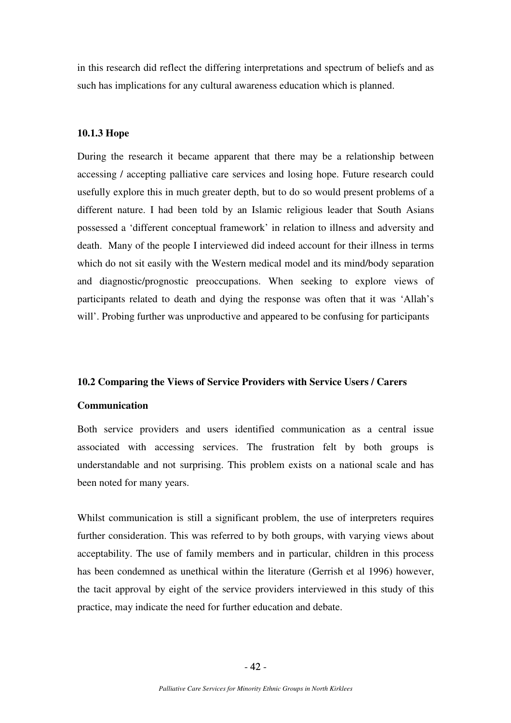in this research did reflect the differing interpretations and spectrum of beliefs and as such has implications for any cultural awareness education which is planned.

#### **10.1.3 Hope**

During the research it became apparent that there may be a relationship between accessing / accepting palliative care services and losing hope. Future research could usefully explore this in much greater depth, but to do so would present problems of a different nature. I had been told by an Islamic religious leader that South Asians possessed a 'different conceptual framework' in relation to illness and adversity and death. Many of the people I interviewed did indeed account for their illness in terms which do not sit easily with the Western medical model and its mind/body separation and diagnostic/prognostic preoccupations. When seeking to explore views of participants related to death and dying the response was often that it was 'Allah's will'. Probing further was unproductive and appeared to be confusing for participants

### **10.2 Comparing the Views of Service Providers with Service Users / Carers**

#### **Communication**

Both service providers and users identified communication as a central issue associated with accessing services. The frustration felt by both groups is understandable and not surprising. This problem exists on a national scale and has been noted for many years.

Whilst communication is still a significant problem, the use of interpreters requires further consideration. This was referred to by both groups, with varying views about acceptability. The use of family members and in particular, children in this process has been condemned as unethical within the literature (Gerrish et al 1996) however, the tacit approval by eight of the service providers interviewed in this study of this practice, may indicate the need for further education and debate.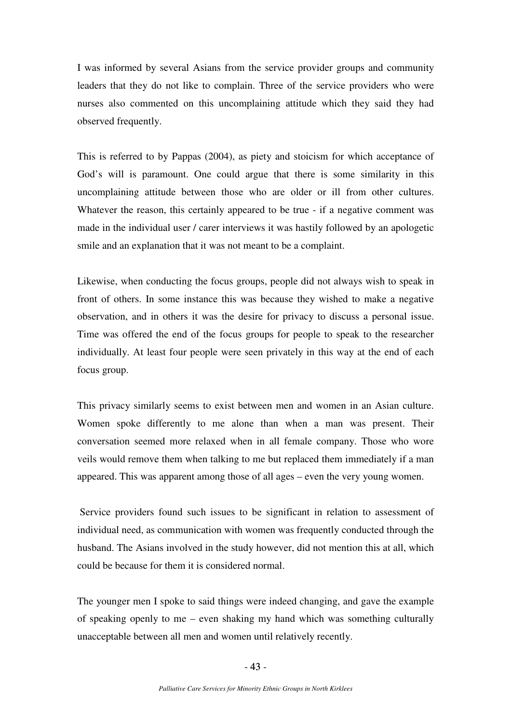I was informed by several Asians from the service provider groups and community leaders that they do not like to complain. Three of the service providers who were nurses also commented on this uncomplaining attitude which they said they had observed frequently.

This is referred to by Pappas (2004), as piety and stoicism for which acceptance of God's will is paramount. One could argue that there is some similarity in this uncomplaining attitude between those who are older or ill from other cultures. Whatever the reason, this certainly appeared to be true - if a negative comment was made in the individual user / carer interviews it was hastily followed by an apologetic smile and an explanation that it was not meant to be a complaint.

Likewise, when conducting the focus groups, people did not always wish to speak in front of others. In some instance this was because they wished to make a negative observation, and in others it was the desire for privacy to discuss a personal issue. Time was offered the end of the focus groups for people to speak to the researcher individually. At least four people were seen privately in this way at the end of each focus group.

This privacy similarly seems to exist between men and women in an Asian culture. Women spoke differently to me alone than when a man was present. Their conversation seemed more relaxed when in all female company. Those who wore veils would remove them when talking to me but replaced them immediately if a man appeared. This was apparent among those of all ages – even the very young women.

 Service providers found such issues to be significant in relation to assessment of individual need, as communication with women was frequently conducted through the husband. The Asians involved in the study however, did not mention this at all, which could be because for them it is considered normal.

The younger men I spoke to said things were indeed changing, and gave the example of speaking openly to me – even shaking my hand which was something culturally unacceptable between all men and women until relatively recently.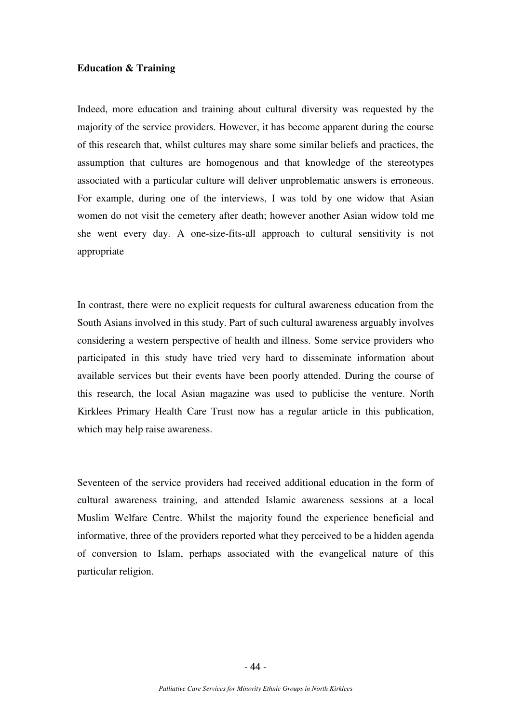### **Education & Training**

Indeed, more education and training about cultural diversity was requested by the majority of the service providers. However, it has become apparent during the course of this research that, whilst cultures may share some similar beliefs and practices, the assumption that cultures are homogenous and that knowledge of the stereotypes associated with a particular culture will deliver unproblematic answers is erroneous. For example, during one of the interviews, I was told by one widow that Asian women do not visit the cemetery after death; however another Asian widow told me she went every day. A one-size-fits-all approach to cultural sensitivity is not appropriate

In contrast, there were no explicit requests for cultural awareness education from the South Asians involved in this study. Part of such cultural awareness arguably involves considering a western perspective of health and illness. Some service providers who participated in this study have tried very hard to disseminate information about available services but their events have been poorly attended. During the course of this research, the local Asian magazine was used to publicise the venture. North Kirklees Primary Health Care Trust now has a regular article in this publication, which may help raise awareness.

Seventeen of the service providers had received additional education in the form of cultural awareness training, and attended Islamic awareness sessions at a local Muslim Welfare Centre. Whilst the majority found the experience beneficial and informative, three of the providers reported what they perceived to be a hidden agenda of conversion to Islam, perhaps associated with the evangelical nature of this particular religion.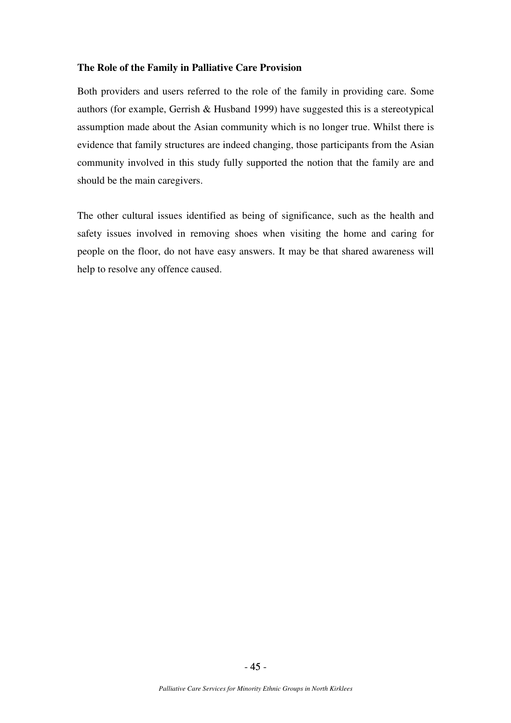### **The Role of the Family in Palliative Care Provision**

Both providers and users referred to the role of the family in providing care. Some authors (for example, Gerrish & Husband 1999) have suggested this is a stereotypical assumption made about the Asian community which is no longer true. Whilst there is evidence that family structures are indeed changing, those participants from the Asian community involved in this study fully supported the notion that the family are and should be the main caregivers.

The other cultural issues identified as being of significance, such as the health and safety issues involved in removing shoes when visiting the home and caring for people on the floor, do not have easy answers. It may be that shared awareness will help to resolve any offence caused.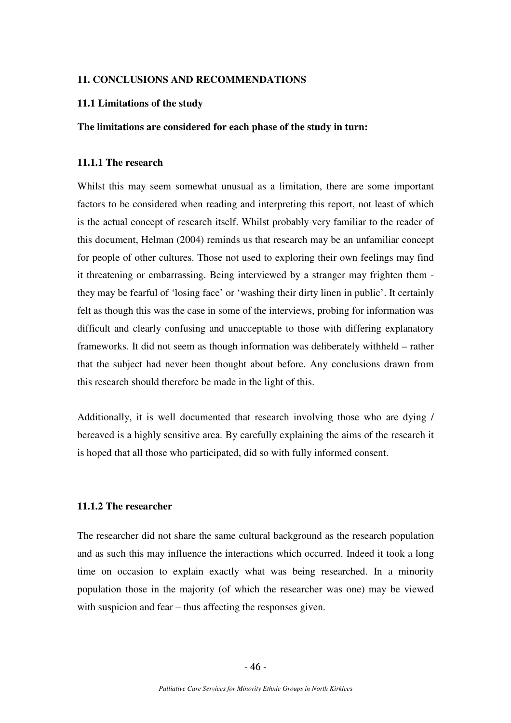### **11. CONCLUSIONS AND RECOMMENDATIONS**

### **11.1 Limitations of the study**

### **The limitations are considered for each phase of the study in turn:**

### **11.1.1 The research**

Whilst this may seem somewhat unusual as a limitation, there are some important factors to be considered when reading and interpreting this report, not least of which is the actual concept of research itself. Whilst probably very familiar to the reader of this document, Helman (2004) reminds us that research may be an unfamiliar concept for people of other cultures. Those not used to exploring their own feelings may find it threatening or embarrassing. Being interviewed by a stranger may frighten them they may be fearful of 'losing face' or 'washing their dirty linen in public'. It certainly felt as though this was the case in some of the interviews, probing for information was difficult and clearly confusing and unacceptable to those with differing explanatory frameworks. It did not seem as though information was deliberately withheld – rather that the subject had never been thought about before. Any conclusions drawn from this research should therefore be made in the light of this.

Additionally, it is well documented that research involving those who are dying / bereaved is a highly sensitive area. By carefully explaining the aims of the research it is hoped that all those who participated, did so with fully informed consent.

### **11.1.2 The researcher**

The researcher did not share the same cultural background as the research population and as such this may influence the interactions which occurred. Indeed it took a long time on occasion to explain exactly what was being researched. In a minority population those in the majority (of which the researcher was one) may be viewed with suspicion and fear – thus affecting the responses given.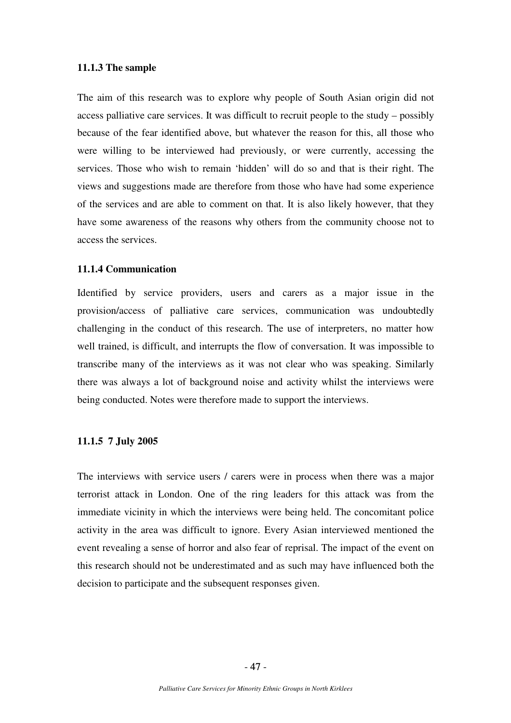#### **11.1.3 The sample**

The aim of this research was to explore why people of South Asian origin did not access palliative care services. It was difficult to recruit people to the study – possibly because of the fear identified above, but whatever the reason for this, all those who were willing to be interviewed had previously, or were currently, accessing the services. Those who wish to remain 'hidden' will do so and that is their right. The views and suggestions made are therefore from those who have had some experience of the services and are able to comment on that. It is also likely however, that they have some awareness of the reasons why others from the community choose not to access the services.

#### **11.1.4 Communication**

Identified by service providers, users and carers as a major issue in the provision/access of palliative care services, communication was undoubtedly challenging in the conduct of this research. The use of interpreters, no matter how well trained, is difficult, and interrupts the flow of conversation. It was impossible to transcribe many of the interviews as it was not clear who was speaking. Similarly there was always a lot of background noise and activity whilst the interviews were being conducted. Notes were therefore made to support the interviews.

### **11.1.5 7 July 2005**

The interviews with service users / carers were in process when there was a major terrorist attack in London. One of the ring leaders for this attack was from the immediate vicinity in which the interviews were being held. The concomitant police activity in the area was difficult to ignore. Every Asian interviewed mentioned the event revealing a sense of horror and also fear of reprisal. The impact of the event on this research should not be underestimated and as such may have influenced both the decision to participate and the subsequent responses given.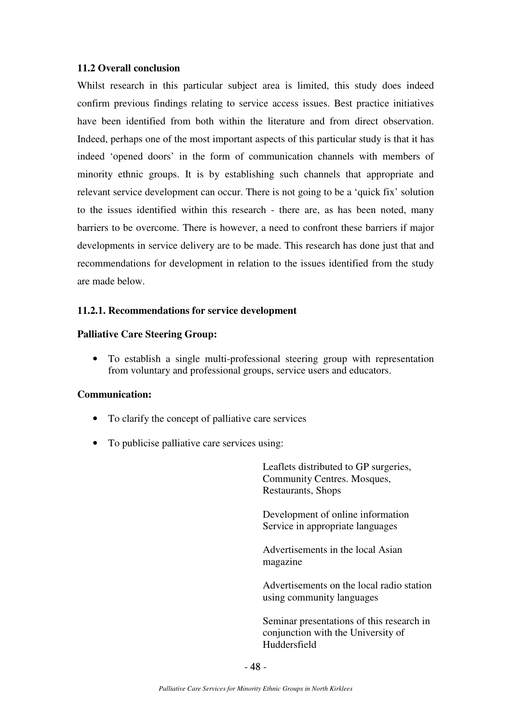### **11.2 Overall conclusion**

Whilst research in this particular subject area is limited, this study does indeed confirm previous findings relating to service access issues. Best practice initiatives have been identified from both within the literature and from direct observation. Indeed, perhaps one of the most important aspects of this particular study is that it has indeed 'opened doors' in the form of communication channels with members of minority ethnic groups. It is by establishing such channels that appropriate and relevant service development can occur. There is not going to be a 'quick fix' solution to the issues identified within this research - there are, as has been noted, many barriers to be overcome. There is however, a need to confront these barriers if major developments in service delivery are to be made. This research has done just that and recommendations for development in relation to the issues identified from the study are made below.

### **11.2.1. Recommendations for service development**

### **Palliative Care Steering Group:**

• To establish a single multi-professional steering group with representation from voluntary and professional groups, service users and educators.

### **Communication:**

- To clarify the concept of palliative care services
- To publicise palliative care services using:

Leaflets distributed to GP surgeries, Community Centres. Mosques, Restaurants, Shops

Development of online information Service in appropriate languages

 Advertisements in the local Asian magazine

 Advertisements on the local radio station using community languages

 Seminar presentations of this research in conjunction with the University of Huddersfield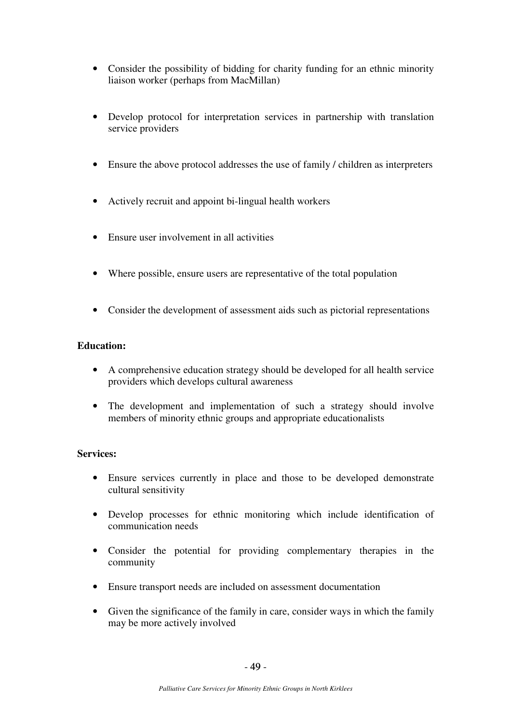- Consider the possibility of bidding for charity funding for an ethnic minority liaison worker (perhaps from MacMillan)
- Develop protocol for interpretation services in partnership with translation service providers
- Ensure the above protocol addresses the use of family / children as interpreters
- Actively recruit and appoint bi-lingual health workers
- Ensure user involvement in all activities
- Where possible, ensure users are representative of the total population
- Consider the development of assessment aids such as pictorial representations

### **Education:**

- A comprehensive education strategy should be developed for all health service providers which develops cultural awareness
- The development and implementation of such a strategy should involve members of minority ethnic groups and appropriate educationalists

### **Services:**

- Ensure services currently in place and those to be developed demonstrate cultural sensitivity
- Develop processes for ethnic monitoring which include identification of communication needs
- Consider the potential for providing complementary therapies in the community
- Ensure transport needs are included on assessment documentation
- Given the significance of the family in care, consider ways in which the family may be more actively involved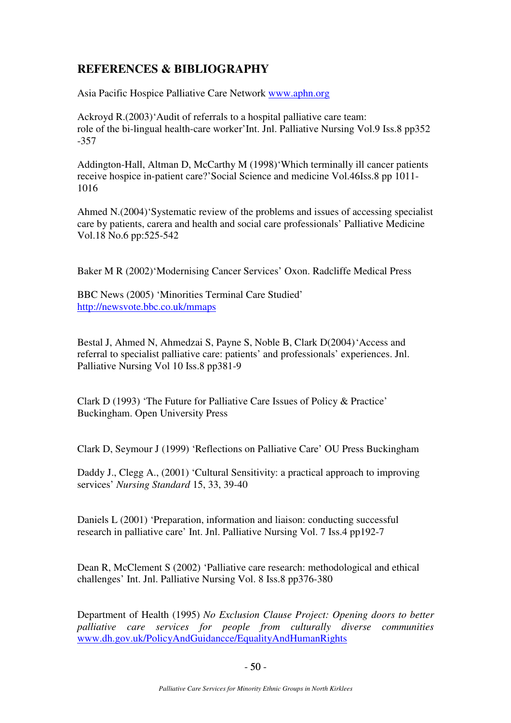# **REFERENCES & BIBLIOGRAPHY**

Asia Pacific Hospice Palliative Care Network www.aphn.org

Ackroyd R.(2003)'Audit of referrals to a hospital palliative care team: role of the bi-lingual health-care worker'Int. Jnl. Palliative Nursing Vol.9 Iss.8 pp352 -357

Addington-Hall, Altman D, McCarthy M (1998)'Which terminally ill cancer patients receive hospice in-patient care?'Social Science and medicine Vol.46Iss.8 pp 1011- 1016

Ahmed N.(2004)'Systematic review of the problems and issues of accessing specialist care by patients, carera and health and social care professionals' Palliative Medicine Vol.18 No.6 pp:525-542

Baker M R (2002)'Modernising Cancer Services' Oxon. Radcliffe Medical Press

BBC News (2005) 'Minorities Terminal Care Studied' http://newsvote.bbc.co.uk/mmaps

Bestal J, Ahmed N, Ahmedzai S, Payne S, Noble B, Clark D(2004) 'Access and referral to specialist palliative care: patients' and professionals' experiences. Jnl. Palliative Nursing Vol 10 Iss.8 pp381-9

Clark D (1993) 'The Future for Palliative Care Issues of Policy & Practice' Buckingham. Open University Press

Clark D, Seymour J (1999) 'Reflections on Palliative Care' OU Press Buckingham

Daddy J., Clegg A., (2001) 'Cultural Sensitivity: a practical approach to improving services' *Nursing Standard* 15, 33, 39-40

Daniels L (2001) 'Preparation, information and liaison: conducting successful research in palliative care' Int. Jnl. Palliative Nursing Vol. 7 Iss.4 pp192-7

Dean R, McClement S (2002) 'Palliative care research: methodological and ethical challenges' Int. Jnl. Palliative Nursing Vol. 8 Iss.8 pp376-380

Department of Health (1995) *No Exclusion Clause Project: Opening doors to better palliative care services for people from culturally diverse communities* www.dh.gov.uk/PolicyAndGuidancce/EqualityAndHumanRights

 $-50$  - $-50-$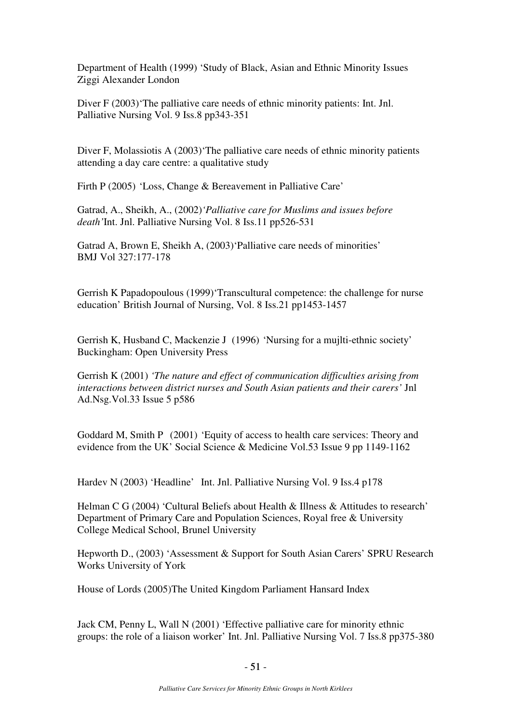Department of Health (1999) 'Study of Black, Asian and Ethnic Minority Issues Ziggi Alexander London

Diver F (2003) The palliative care needs of ethnic minority patients: Int. Jnl. Palliative Nursing Vol. 9 Iss.8 pp343-351

Diver F, Molassiotis A (2003) The palliative care needs of ethnic minority patients attending a day care centre: a qualitative study

Firth P (2005) 'Loss, Change & Bereavement in Palliative Care'

Gatrad, A., Sheikh, A., (2002)*'Palliative care for Muslims and issues before death'*Int. Jnl. Palliative Nursing Vol. 8 Iss.11 pp526-531

Gatrad A, Brown E, Sheikh A, (2003)'Palliative care needs of minorities' BMJ Vol 327:177-178

Gerrish K Papadopoulous (1999)'Transcultural competence: the challenge for nurse education' British Journal of Nursing, Vol. 8 Iss.21 pp1453-1457

Gerrish K, Husband C, Mackenzie J (1996) 'Nursing for a mujlti-ethnic society' Buckingham: Open University Press

Gerrish K (2001) *'The nature and effect of communication difficulties arising from interactions between district nurses and South Asian patients and their carers'* Jnl Ad.Nsg.Vol.33 Issue 5 p586

Goddard M, Smith P (2001) 'Equity of access to health care services: Theory and evidence from the UK' Social Science & Medicine Vol.53 Issue 9 pp 1149-1162

Hardev N (2003) 'Headline' Int. Jnl. Palliative Nursing Vol. 9 Iss.4 p178

Helman C G (2004) 'Cultural Beliefs about Health & Illness & Attitudes to research' Department of Primary Care and Population Sciences, Royal free & University College Medical School, Brunel University

Hepworth D., (2003) 'Assessment & Support for South Asian Carers' SPRU Research Works University of York

House of Lords (2005)The United Kingdom Parliament Hansard Index

Jack CM, Penny L, Wall N (2001) 'Effective palliative care for minority ethnic groups: the role of a liaison worker' Int. Jnl. Palliative Nursing Vol. 7 Iss.8 pp375-380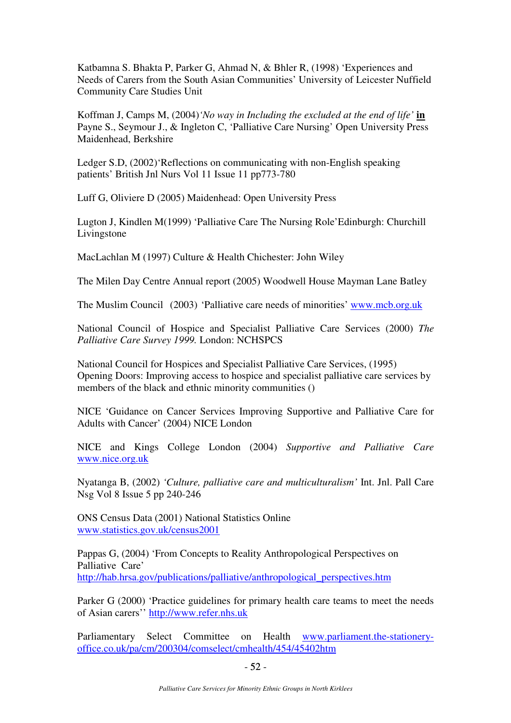Katbamna S. Bhakta P, Parker G, Ahmad N, & Bhler R, (1998) 'Experiences and Needs of Carers from the South Asian Communities' University of Leicester Nuffield Community Care Studies Unit

Koffman J, Camps M, (2004)*'No way in Including the excluded at the end of life'* **in** Payne S., Seymour J., & Ingleton C, 'Palliative Care Nursing' Open University Press Maidenhead, Berkshire

Ledger S.D, (2002)'Reflections on communicating with non-English speaking patients' British Jnl Nurs Vol 11 Issue 11 pp773-780

Luff G, Oliviere D (2005) Maidenhead: Open University Press

Lugton J, Kindlen M(1999) 'Palliative Care The Nursing Role'Edinburgh: Churchill Livingstone

MacLachlan M (1997) Culture & Health Chichester: John Wiley

The Milen Day Centre Annual report (2005) Woodwell House Mayman Lane Batley

The Muslim Council (2003) 'Palliative care needs of minorities' www.mcb.org.uk

National Council of Hospice and Specialist Palliative Care Services (2000) *The Palliative Care Survey 1999.* London: NCHSPCS

National Council for Hospices and Specialist Palliative Care Services, (1995) Opening Doors: Improving access to hospice and specialist palliative care services by members of the black and ethnic minority communities ()

NICE 'Guidance on Cancer Services Improving Supportive and Palliative Care for Adults with Cancer' (2004) NICE London

NICE and Kings College London (2004) *Supportive and Palliative Care* www.nice.org.uk

Nyatanga B, (2002) *'Culture, palliative care and multiculturalism'* Int. Jnl. Pall Care Nsg Vol 8 Issue 5 pp 240-246

ONS Census Data (2001) National Statistics Online www.statistics.gov.uk/census2001

Pappas G, (2004) 'From Concepts to Reality Anthropological Perspectives on Palliative Care' http://hab.hrsa.gov/publications/palliative/anthropological\_perspectives.htm

Parker G (2000) 'Practice guidelines for primary health care teams to meet the needs of Asian carers'' http://www.refer.nhs.uk

Parliamentary Select Committee on Health www.parliament.the-stationeryoffice.co.uk/pa/cm/200304/comselect/cmhealth/454/45402htm

 $-52$  - $-52-$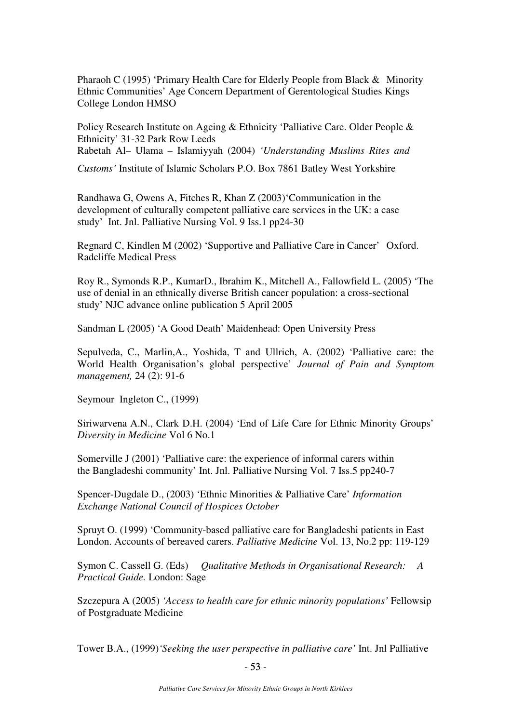Pharaoh C (1995) 'Primary Health Care for Elderly People from Black & Minority Ethnic Communities' Age Concern Department of Gerentological Studies Kings College London HMSO

Policy Research Institute on Ageing & Ethnicity 'Palliative Care. Older People & Ethnicity' 31-32 Park Row Leeds Rabetah Al– Ulama – Islamiyyah (2004) *'Understanding Muslims Rites and* 

*Customs'* Institute of Islamic Scholars P.O. Box 7861 Batley West Yorkshire

Randhawa G, Owens A, Fitches R, Khan Z (2003)'Communication in the development of culturally competent palliative care services in the UK: a case study' Int. Jnl. Palliative Nursing Vol. 9 Iss.1 pp24-30

Regnard C, Kindlen M (2002) 'Supportive and Palliative Care in Cancer' Oxford. Radcliffe Medical Press

Roy R., Symonds R.P., KumarD., Ibrahim K., Mitchell A., Fallowfield L. (2005) 'The use of denial in an ethnically diverse British cancer population: a cross-sectional study' NJC advance online publication 5 April 2005

Sandman L (2005) 'A Good Death' Maidenhead: Open University Press

Sepulveda, C., Marlin,A., Yoshida, T and Ullrich, A. (2002) 'Palliative care: the World Health Organisation's global perspective' *Journal of Pain and Symptom management,* 24 (2): 91-6

Seymour Ingleton C., (1999)

Siriwarvena A.N., Clark D.H. (2004) 'End of Life Care for Ethnic Minority Groups' *Diversity in Medicine* Vol 6 No.1

Somerville J (2001) 'Palliative care: the experience of informal carers within the Bangladeshi community' Int. Jnl. Palliative Nursing Vol. 7 Iss.5 pp240-7

Spencer-Dugdale D., (2003) 'Ethnic Minorities & Palliative Care' *Information Exchange National Council of Hospices October* 

Spruyt O. (1999) 'Community-based palliative care for Bangladeshi patients in East London. Accounts of bereaved carers. *Palliative Medicine* Vol. 13, No.2 pp: 119-129

Symon C. Cassell G. (Eds) *Qualitative Methods in Organisational Research: A Practical Guide.* London: Sage

Szczepura A (2005) *'Access to health care for ethnic minority populations'* Fellowsip of Postgraduate Medicine

Tower B.A., (1999)*'Seeking the user perspective in palliative care'* Int. Jnl Palliative